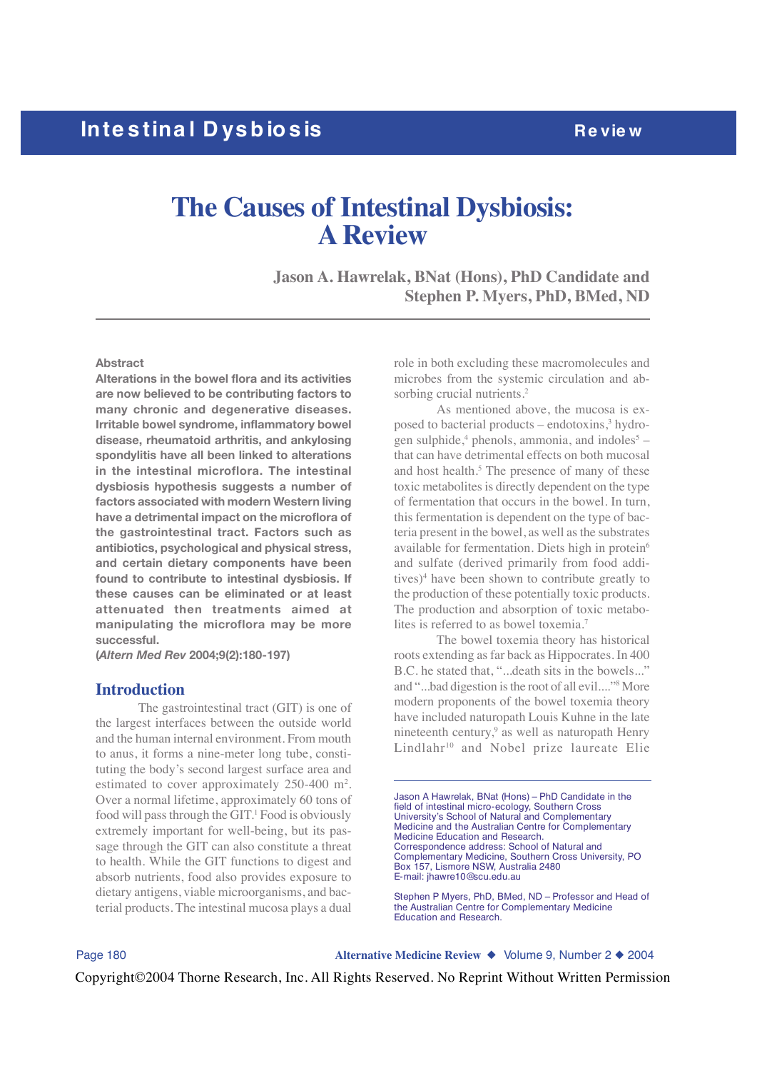# **The Causes of Intestinal Dysbiosis: A Review**

**Jason A. Hawrelak, BNat (Hons), PhD Candidate and Stephen P. Myers, PhD, BMed, ND**

### **Abstract**

**Alterations in the bowel flora and its activities are now believed to be contributing factors to many chronic and degenerative diseases. Irritable bowel syndrome, inflammatory bowel disease, rheumatoid arthritis, and ankylosing spondylitis have all been linked to alterations in the intestinal microflora. The intestinal dysbiosis hypothesis suggests a number of factors associated with modern Western living have a detrimental impact on the microflora of the gastrointestinal tract. Factors such as antibiotics, psychological and physical stress, and certain dietary components have been found to contribute to intestinal dysbiosis. If these causes can be eliminated or at least attenuated then treatments aimed at manipulating the microflora may be more successful.**

**(***Altern Med Rev* **2004;9(2):180-197)**

### **Introduction**

The gastrointestinal tract (GIT) is one of the largest interfaces between the outside world and the human internal environment. From mouth to anus, it forms a nine-meter long tube, constituting the body's second largest surface area and estimated to cover approximately  $250-400$  m<sup>2</sup>. Over a normal lifetime, approximately 60 tons of food will pass through the GIT.<sup>1</sup> Food is obviously extremely important for well-being, but its passage through the GIT can also constitute a threat to health. While the GIT functions to digest and absorb nutrients, food also provides exposure to dietary antigens, viable microorganisms, and bacterial products. The intestinal mucosa plays a dual role in both excluding these macromolecules and microbes from the systemic circulation and absorbing crucial nutrients.<sup>2</sup>

As mentioned above, the mucosa is exposed to bacterial products – endotoxins,<sup>3</sup> hydrogen sulphide,<sup>4</sup> phenols, ammonia, and indoles<sup>5</sup> – that can have detrimental effects on both mucosal and host health.<sup>5</sup> The presence of many of these toxic metabolites is directly dependent on the type of fermentation that occurs in the bowel. In turn, this fermentation is dependent on the type of bacteria present in the bowel, as well as the substrates available for fermentation. Diets high in protein<sup>6</sup> and sulfate (derived primarily from food additives)<sup>4</sup> have been shown to contribute greatly to the production of these potentially toxic products. The production and absorption of toxic metabolites is referred to as bowel toxemia.7

The bowel toxemia theory has historical roots extending as far back as Hippocrates. In 400 B.C. he stated that, "...death sits in the bowels..." and "...bad digestion is the root of all evil...."8 More modern proponents of the bowel toxemia theory have included naturopath Louis Kuhne in the late nineteenth century,<sup>9</sup> as well as naturopath Henry Lindlahr<sup>10</sup> and Nobel prize laureate Elie

Jason A Hawrelak, BNat (Hons) – PhD Candidate in the field of intestinal micro-ecology, Southern Cross University's School of Natural and Complementary Medicine and the Australian Centre for Complementary Medicine Education and Research. Correspondence address: School of Natural and Complementary Medicine, Southern Cross University, PO Box 157, Lismore NSW, Australia 2480 E-mail: jhawre10@scu.edu.au

Stephen P Myers, PhD, BMed, ND – Professor and Head of the Australian Centre for Complementary Medicine Education and Research.

Page 180 **Alternative Medicine Review** ◆ Volume 9, Number 2 ◆ 2004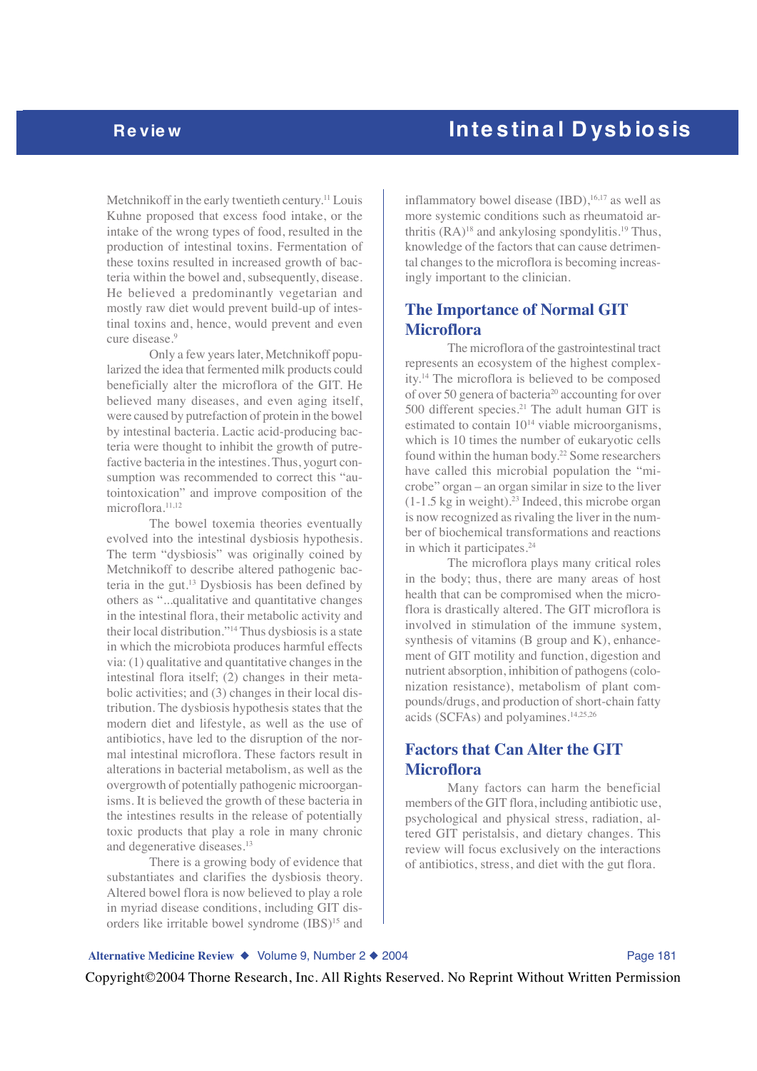Metchnikoff in the early twentieth century.<sup>11</sup> Louis Kuhne proposed that excess food intake, or the intake of the wrong types of food, resulted in the production of intestinal toxins. Fermentation of these toxins resulted in increased growth of bacteria within the bowel and, subsequently, disease. He believed a predominantly vegetarian and mostly raw diet would prevent build-up of intestinal toxins and, hence, would prevent and even cure disease.<sup>9</sup>

Only a few years later, Metchnikoff popularized the idea that fermented milk products could beneficially alter the microflora of the GIT. He believed many diseases, and even aging itself, were caused by putrefaction of protein in the bowel by intestinal bacteria. Lactic acid-producing bacteria were thought to inhibit the growth of putrefactive bacteria in the intestines. Thus, yogurt consumption was recommended to correct this "autointoxication" and improve composition of the microflora.11,12

The bowel toxemia theories eventually evolved into the intestinal dysbiosis hypothesis. The term "dysbiosis" was originally coined by Metchnikoff to describe altered pathogenic bacteria in the gut.13 Dysbiosis has been defined by others as "...qualitative and quantitative changes in the intestinal flora, their metabolic activity and their local distribution."14 Thus dysbiosis is a state in which the microbiota produces harmful effects via: (1) qualitative and quantitative changes in the intestinal flora itself; (2) changes in their metabolic activities; and (3) changes in their local distribution. The dysbiosis hypothesis states that the modern diet and lifestyle, as well as the use of antibiotics, have led to the disruption of the normal intestinal microflora. These factors result in alterations in bacterial metabolism, as well as the overgrowth of potentially pathogenic microorganisms. It is believed the growth of these bacteria in the intestines results in the release of potentially toxic products that play a role in many chronic and degenerative diseases.13

There is a growing body of evidence that substantiates and clarifies the dysbiosis theory. Altered bowel flora is now believed to play a role in myriad disease conditions, including GIT disorders like irritable bowel syndrome (IBS)<sup>15</sup> and

inflammatory bowel disease  $(IBD)$ ,<sup>16,17</sup> as well as more systemic conditions such as rheumatoid arthritis  $(RA)^{18}$  and ankylosing spondylitis.<sup>19</sup> Thus, knowledge of the factors that can cause detrimental changes to the microflora is becoming increas-

## **The Importance of Normal GIT Microflora**

ingly important to the clinician.

The microflora of the gastrointestinal tract represents an ecosystem of the highest complexity.14 The microflora is believed to be composed of over 50 genera of bacteria20 accounting for over 500 different species.<sup>21</sup> The adult human GIT is estimated to contain 1014 viable microorganisms, which is 10 times the number of eukaryotic cells found within the human body.22 Some researchers have called this microbial population the "microbe" organ – an organ similar in size to the liver  $(1-1.5 \text{ kg in weight})$ .<sup>23</sup> Indeed, this microbe organ is now recognized as rivaling the liver in the number of biochemical transformations and reactions in which it participates.<sup>24</sup>

The microflora plays many critical roles in the body; thus, there are many areas of host health that can be compromised when the microflora is drastically altered. The GIT microflora is involved in stimulation of the immune system, synthesis of vitamins (B group and K), enhancement of GIT motility and function, digestion and nutrient absorption, inhibition of pathogens (colonization resistance), metabolism of plant compounds/drugs, and production of short-chain fatty acids (SCFAs) and polyamines.14,25,26

## **Factors that Can Alter the GIT Microflora**

Many factors can harm the beneficial members of the GIT flora, including antibiotic use, psychological and physical stress, radiation, altered GIT peristalsis, and dietary changes. This review will focus exclusively on the interactions of antibiotics, stress, and diet with the gut flora.

### Alternative Medicine Review ◆ Volume 9, Number 2 ◆ 2004 **Page 181**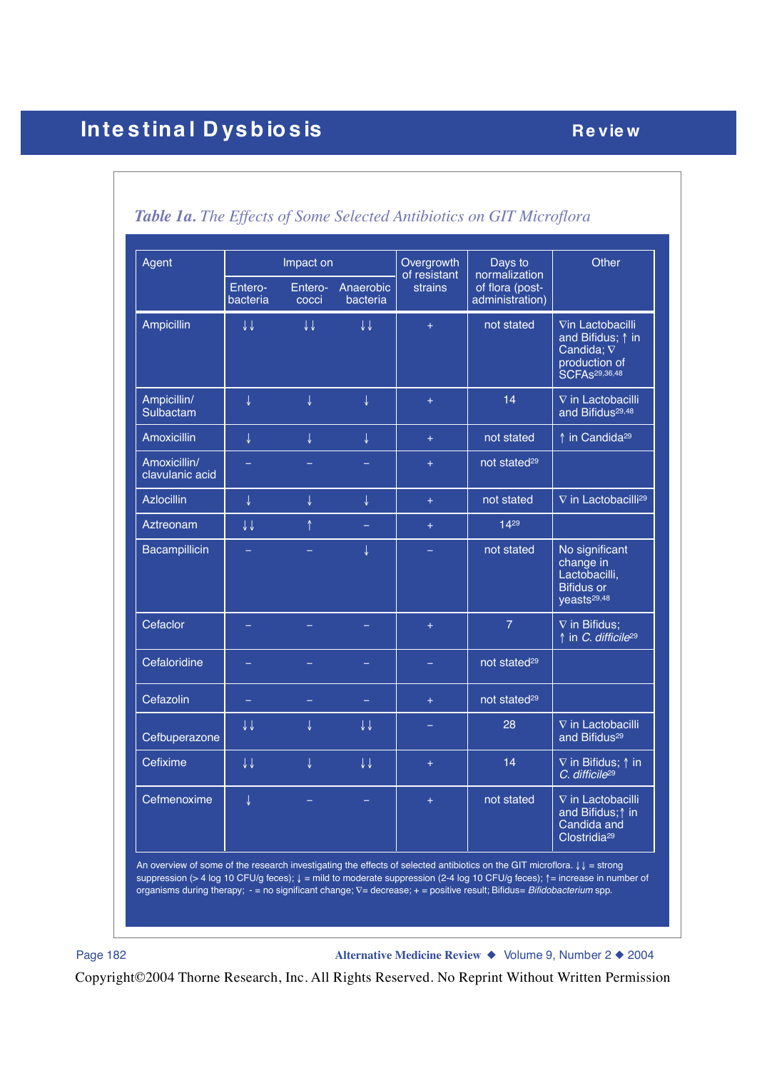| Agent                           | Impact on                               |                         |                         | Overgrowth              | Days to                                             | Other                                                                                                             |  |
|---------------------------------|-----------------------------------------|-------------------------|-------------------------|-------------------------|-----------------------------------------------------|-------------------------------------------------------------------------------------------------------------------|--|
|                                 | Entero-<br>Entero-<br>bacteria<br>cocci |                         | Anaerobic<br>bacteria   | of resistant<br>strains | normalization<br>of flora (post-<br>administration) |                                                                                                                   |  |
| Ampicillin                      | $\downarrow \downarrow$                 | $\downarrow \downarrow$ | $\downarrow \downarrow$ | $+$                     | not stated                                          | Vin Lactobacilli<br>and Bifidus; $\uparrow$ in<br>Candida; $\nabla$<br>production of<br>SCFAs <sup>29,36,48</sup> |  |
| Ampicillin/<br>Sulbactam        | $\downarrow$                            | $\downarrow$            | $\downarrow$            | $+$                     | 14                                                  | $\nabla$ in Lactobacilli<br>and Bifidus <sup>29,48</sup>                                                          |  |
| <b>Amoxicillin</b>              | $\downarrow$                            | $\downarrow$            | $\downarrow$            | $+$                     | not stated                                          | ↑ in Candida <sup>29</sup>                                                                                        |  |
| Amoxicillin/<br>clavulanic acid |                                         |                         |                         | $\ddot{}$               | not stated <sup>29</sup>                            |                                                                                                                   |  |
| <b>Azlocillin</b>               | $\downarrow$                            | J                       | $\downarrow$            | $+$                     | not stated                                          | $\nabla$ in Lactobacilli <sup>29</sup>                                                                            |  |
| Aztreonam                       | $\downarrow\downarrow$                  | $\uparrow$              |                         | $+$                     | $14^{29}$                                           |                                                                                                                   |  |
| Bacampillicin                   |                                         |                         | $\downarrow$            |                         | not stated                                          | No significant<br>change in<br>Lactobacilli,<br><b>Bifidus or</b><br>yeasts <sup>29,48</sup>                      |  |
| Cefaclor                        |                                         |                         |                         | $\pm$                   | $\overline{7}$                                      | $\nabla$ in Bifidus;<br>↑ in C. difficile <sup>29</sup>                                                           |  |
| Cefaloridine                    |                                         |                         |                         |                         | not stated <sup>29</sup>                            |                                                                                                                   |  |
| Cefazolin                       | ÷,                                      |                         |                         | $+$                     | not stated <sup>29</sup>                            |                                                                                                                   |  |
| Cefbuperazone                   | $\downarrow \downarrow$                 | ↓                       | $\downarrow \downarrow$ | -                       | 28                                                  | $\nabla$ in Lactobacilli<br>and Bifidus <sup>29</sup>                                                             |  |
| Cefixime                        | $\downarrow \downarrow$                 | $\downarrow$            | $\downarrow \downarrow$ | $+$                     | 14                                                  | $\nabla$ in Bifidus; $\uparrow$ in<br>C. difficile <sup>29</sup>                                                  |  |
| Cefmenoxime                     | $\downarrow$                            |                         | ÷                       | $\ddot{}$               | not stated                                          | $\nabla$ in Lactobacilli<br>and Bifidus; $\uparrow$ in<br>Candida and<br>Clostridia <sup>29</sup>                 |  |

# *Table 1a. The Effects of Some Selected Antibiotics on GIT Microflora*

An overview of some of the research investigating the effects of selected antibiotics on the GIT microflora. ↓↓ = strong suppression (> 4 log 10 CFU/g feces);  $\downarrow$  = mild to moderate suppression (2-4 log 10 CFU/g feces);  $\uparrow$  = increase in number of organisms during therapy; - = no significant change; ∇= decrease; + = positive result; Bifidus= *Bifidobacterium* spp.

Page 182 **Alternative Medicine Review** ◆ Volume 9, Number 2 ◆ 2004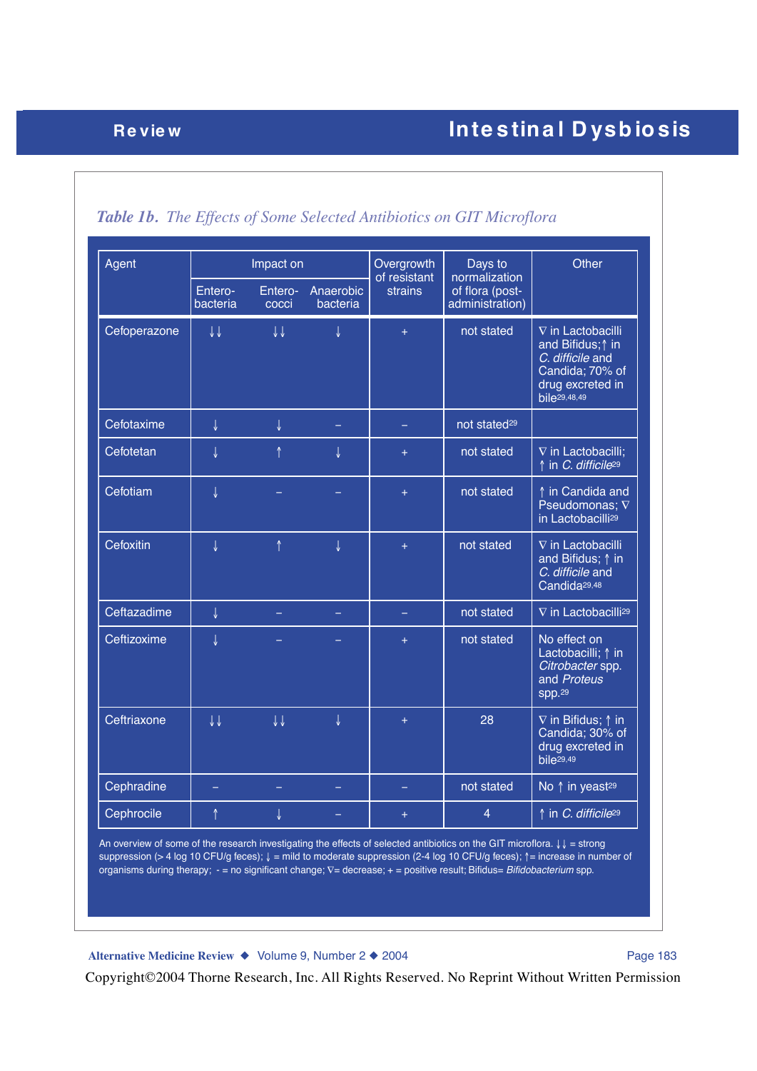| Agent        | Impact on               |                         |                       | Overgrowth<br>of resistant | Days to<br>normalization           | Other                                                                                                                    |
|--------------|-------------------------|-------------------------|-----------------------|----------------------------|------------------------------------|--------------------------------------------------------------------------------------------------------------------------|
|              | Entero-<br>bacteria     | Entero-<br>cocci        | Anaerobic<br>bacteria | strains                    | of flora (post-<br>administration) |                                                                                                                          |
| Cefoperazone | $\downarrow \downarrow$ | $\downarrow \downarrow$ | $\downarrow$          | $+$                        | not stated                         | $\nabla$ in Lactobacilli<br>and Bifidus; 1 in<br>C. difficile and<br>Candida; 70% of<br>drug excreted in<br>bile29,48,49 |
| Cefotaxime   | $\downarrow$            | ↓                       |                       |                            | not stated <sup>29</sup>           |                                                                                                                          |
| Cefotetan    | ↓                       | ↑                       | T                     | $+$                        | not stated                         | V in Lactobacilli;<br>↑ in C. difficile <sup>29</sup>                                                                    |
| Cefotiam     | $\downarrow$            |                         |                       | $\ddot{}$                  | not stated                         | ↑ in Candida and<br>Pseudomonas; $\nabla$<br>in Lactobacilli <sup>29</sup>                                               |
| Cefoxitin    | T                       | $\uparrow$              | J                     | $\ddot{}$                  | not stated                         | $\nabla$ in Lactobacilli<br>and Bifidus; $\uparrow$ in<br>C. difficile and<br>Candida <sup>29,48</sup>                   |
| Ceftazadime  | $\downarrow$            |                         | $\equiv$              |                            | not stated                         | V in Lactobacilli <sup>29</sup>                                                                                          |
| Ceftizoxime  | ↓                       |                         |                       | $+$                        | not stated                         | No effect on<br>Lactobacilli; $\uparrow$ in<br>Citrobacter spp.<br>and Proteus<br>spp.29                                 |
| Ceftriaxone  | $\downarrow \downarrow$ | $\downarrow \downarrow$ | J                     | $+$                        | 28                                 | $\nabla$ in Bifidus; $\uparrow$ in<br>Candida; 30% of<br>drug excreted in<br>bile <sub>29,49</sub>                       |
| Cephradine   |                         |                         |                       |                            | not stated                         | No ↑ in yeast <sup>29</sup>                                                                                              |
| Cephrocile   | ↑                       | ↓                       | $\equiv$              | $\pm$                      | $\overline{4}$                     | ↑ in <i>C. difficile</i> <sup>29</sup>                                                                                   |

# *Table 1b. The Effects of Some Selected Antibiotics on GIT Microflora*

An overview of some of the research investigating the effects of selected antibiotics on the GIT microflora. ↓↓ = strong suppression (> 4 log 10 CFU/g feces);  $\downarrow$  = mild to moderate suppression (2-4 log 10 CFU/g feces);  $\uparrow$  = increase in number of organisms during therapy; - = no significant change; ∇= decrease; + = positive result; Bifidus= *Bifidobacterium* spp.

Alternative Medicine Review ◆ Volume 9, Number 2 ◆ 2004 Page 183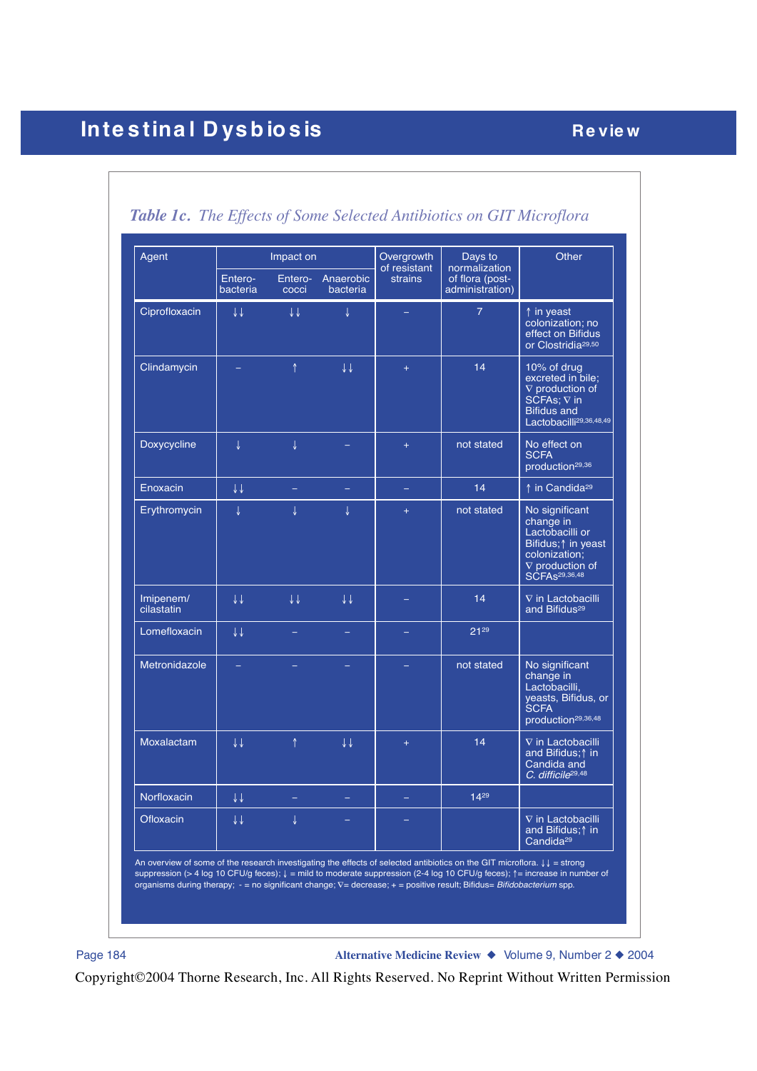# **Intestinal Dysbiosis Review**

| Agent                   | Entero-<br>bacteria     | Impact on<br>cocci      | Entero- Anaerobic<br>bacteria | Overgrowth<br>of resistant<br>strains | Days to<br>normalization<br>of flora (post-<br>administration) | Other                                                                                                                                                  |
|-------------------------|-------------------------|-------------------------|-------------------------------|---------------------------------------|----------------------------------------------------------------|--------------------------------------------------------------------------------------------------------------------------------------------------------|
| Ciprofloxacin           | ↓↓                      | $\downarrow \downarrow$ | J                             |                                       | $\overline{7}$                                                 | ↑ in yeast<br>colonization; no<br>effect on Bifidus<br>or Clostridia <sup>29,50</sup>                                                                  |
| Clindamycin             |                         | $\uparrow$              | $\downarrow \downarrow$       | $+$                                   | 14                                                             | 10% of drug<br>excreted in bile;<br>$\nabla$ production of<br>SCFAs; $\nabla$ in<br><b>Bifidus and</b><br>Lactobacilli <sup>29,36,48,49</sup>          |
| Doxycycline             | J                       | J                       |                               | $+$                                   | not stated                                                     | No effect on<br><b>SCFA</b><br>production <sup>29,36</sup>                                                                                             |
| Enoxacin                | $\downarrow \downarrow$ |                         |                               | -                                     | 14                                                             | ↑ in Candida <sup>29</sup>                                                                                                                             |
| Erythromycin            | T                       | T                       | T                             | $+$                                   | not stated                                                     | No significant<br>change in<br>Lactobacilli or<br>Bifidus; $\uparrow$ in yeast<br>colonization;<br>$\nabla$ production of<br>SCFA <sub>s29,36,48</sub> |
| Imipenem/<br>cilastatin | $\downarrow \downarrow$ | $\downarrow \downarrow$ | $\downarrow \downarrow$       |                                       | 14                                                             | $\nabla$ in Lactobacilli<br>and Bifidus <sup>29</sup>                                                                                                  |
| Lomefloxacin            | $\downarrow \downarrow$ |                         |                               |                                       | 2129                                                           |                                                                                                                                                        |
| Metronidazole           |                         |                         |                               |                                       | not stated                                                     | No significant<br>change in<br>Lactobacilli,<br>yeasts, Bifidus, or<br><b>SCFA</b><br>production <sup>29,36,48</sup>                                   |
| Moxalactam              | $\downarrow \downarrow$ | ↑                       | ↓↓                            | $+$                                   | 14                                                             | $\nabla$ in Lactobacilli<br>and Bifidus; <sup>1</sup> in<br>Candida and<br>C. difficile <sup>29,48</sup>                                               |
| Norfloxacin             | ↓↓                      |                         |                               |                                       | $14^{29}$                                                      |                                                                                                                                                        |
| Ofloxacin               | ↓↓                      | ↓                       |                               |                                       |                                                                | $\nabla$ in Lactobacilli<br>and Bifidus; $\uparrow$ in<br>Candida <sup>29</sup>                                                                        |

*Table 1c. The Effects of Some Selected Antibiotics on GIT Microflora*

Page 184 **Alternative Medicine Review** ◆ Volume 9, Number 2 ◆ 2004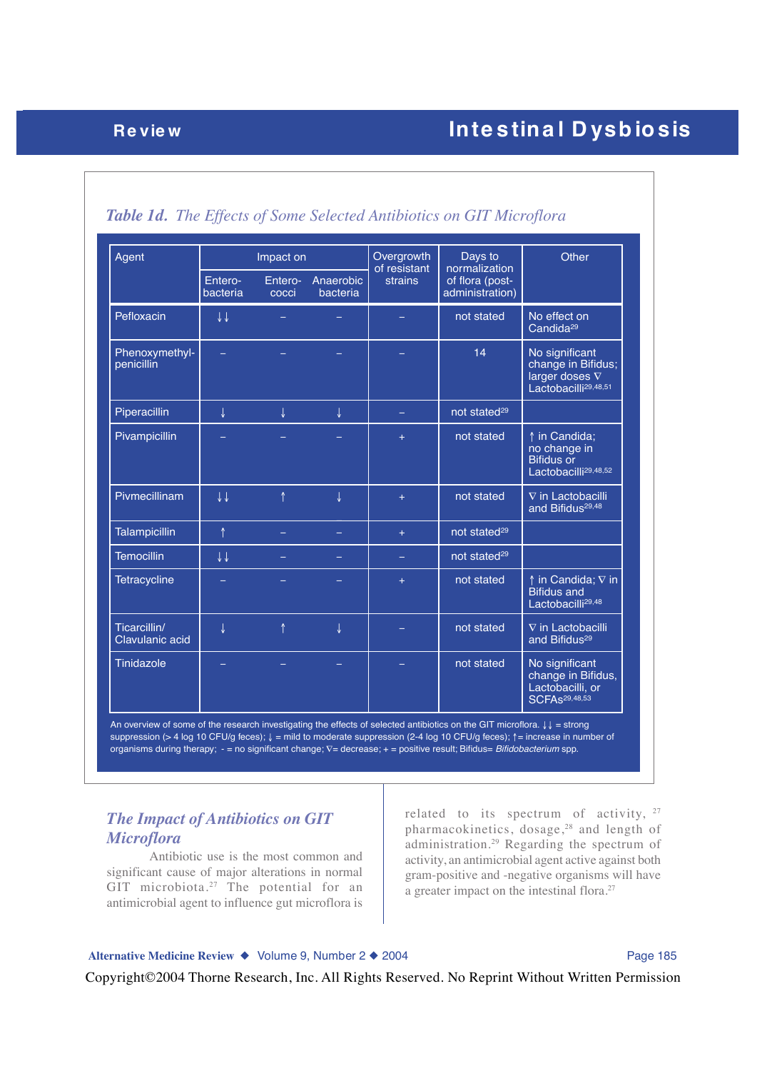# **Review Review Review Review Review Review Review Review Review Review Review Review Review Review Review Review**

| Agent                           | Impact on               |                  |                       | Overgrowth<br>of resistant | Days to<br>normalization           | Other                                                                                             |  |
|---------------------------------|-------------------------|------------------|-----------------------|----------------------------|------------------------------------|---------------------------------------------------------------------------------------------------|--|
|                                 | Entero-<br>bacteria     | Entero-<br>cocci | Anaerobic<br>bacteria | strains                    | of flora (post-<br>administration) |                                                                                                   |  |
| Pefloxacin                      | $\downarrow \downarrow$ |                  |                       |                            | not stated                         | No effect on<br>Candida <sup>29</sup>                                                             |  |
| Phenoxymethyl-<br>penicillin    |                         |                  |                       |                            | 14                                 | No significant<br>change in Bifidus;<br>larger doses $\nabla$<br>Lactobacilli <sup>29,48,51</sup> |  |
| Piperacillin                    | $\downarrow$            | J                | $\downarrow$          |                            | not stated <sup>29</sup>           |                                                                                                   |  |
| Pivampicillin                   |                         |                  |                       | $+$                        | not stated                         | ↑ in Candida;<br>no change in<br><b>Bifidus or</b><br>Lactobacilli <sup>29,48,52</sup>            |  |
| Pivmecillinam                   | $\downarrow\downarrow$  | ↑                | $\downarrow$          | $+$                        | not stated                         | $\nabla$ in Lactobacilli<br>and Bifidus <sup>29,48</sup>                                          |  |
| <b>Talampicillin</b>            | $\uparrow$              |                  |                       | $+$                        | not stated <sup>29</sup>           |                                                                                                   |  |
| <b>Temocillin</b>               | $\downarrow \downarrow$ |                  |                       | ÷,                         | not stated <sup>29</sup>           |                                                                                                   |  |
| <b>Tetracycline</b>             |                         |                  |                       | $+$                        | not stated                         | $\uparrow$ in Candida; $\nabla$ in<br><b>Bifidus and</b><br>Lactobacilli <sup>29,48</sup>         |  |
| Ticarcillin/<br>Clavulanic acid | $\downarrow$            | ↑                | $\downarrow$          |                            | not stated                         | V in Lactobacilli<br>and Bifidus <sup>29</sup>                                                    |  |
| Tinidazole                      |                         |                  |                       |                            | not stated                         | No significant<br>change in Bifidus,<br>Lactobacilli, or<br><b>SCFAs29,48,53</b>                  |  |

## *Table 1d. The Effects of Some Selected Antibiotics on GIT Microflora*

An overview of some of the research investigating the effects of selected antibiotics on the GIT microflora. ↓↓ = strong suppression (> 4 log 10 CFU/g feces); ↓ = mild to moderate suppression (2-4 log 10 CFU/g feces); ↑= increase in number of organisms during therapy; - = no significant change; ∇= decrease; + = positive result; Bifidus= *Bifidobacterium* spp.

## *The Impact of Antibiotics on GIT Microflora*

Antibiotic use is the most common and significant cause of major alterations in normal GIT microbiota.<sup>27</sup> The potential for an antimicrobial agent to influence gut microflora is related to its spectrum of activity, <sup>27</sup> pharmacokinetics, dosage,28 and length of administration.29 Regarding the spectrum of activity, an antimicrobial agent active against both gram-positive and -negative organisms will have a greater impact on the intestinal flora.27

### Alternative Medicine Review ◆ Volume 9, Number 2 ◆ 2004 Page 185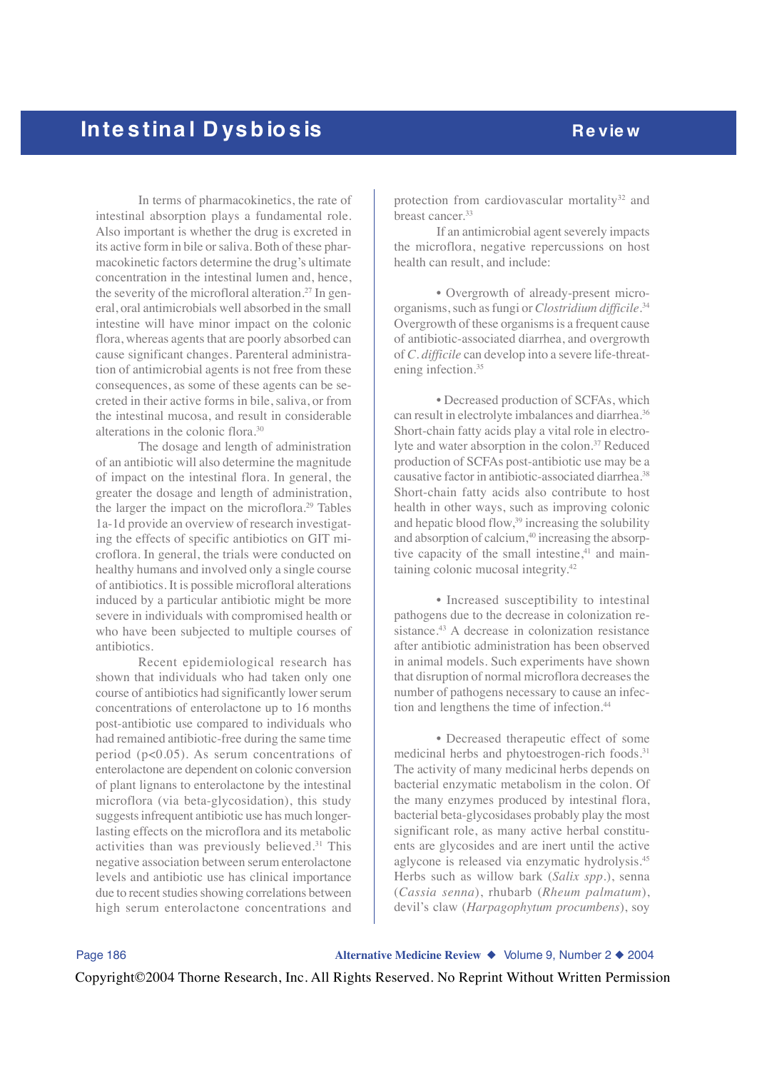In terms of pharmacokinetics, the rate of intestinal absorption plays a fundamental role. Also important is whether the drug is excreted in its active form in bile or saliva. Both of these pharmacokinetic factors determine the drug's ultimate concentration in the intestinal lumen and, hence, the severity of the microfloral alteration.<sup>27</sup> In general, oral antimicrobials well absorbed in the small intestine will have minor impact on the colonic flora, whereas agents that are poorly absorbed can cause significant changes. Parenteral administration of antimicrobial agents is not free from these consequences, as some of these agents can be secreted in their active forms in bile, saliva, or from the intestinal mucosa, and result in considerable alterations in the colonic flora.30

The dosage and length of administration of an antibiotic will also determine the magnitude of impact on the intestinal flora. In general, the greater the dosage and length of administration, the larger the impact on the microflora.29 Tables 1a-1d provide an overview of research investigating the effects of specific antibiotics on GIT microflora. In general, the trials were conducted on healthy humans and involved only a single course of antibiotics. It is possible microfloral alterations induced by a particular antibiotic might be more severe in individuals with compromised health or who have been subjected to multiple courses of antibiotics.

Recent epidemiological research has shown that individuals who had taken only one course of antibiotics had significantly lower serum concentrations of enterolactone up to 16 months post-antibiotic use compared to individuals who had remained antibiotic-free during the same time period (p<0.05). As serum concentrations of enterolactone are dependent on colonic conversion of plant lignans to enterolactone by the intestinal microflora (via beta-glycosidation), this study suggests infrequent antibiotic use has much longerlasting effects on the microflora and its metabolic activities than was previously believed.<sup>31</sup> This negative association between serum enterolactone levels and antibiotic use has clinical importance due to recent studies showing correlations between high serum enterolactone concentrations and

protection from cardiovascular mortality<sup>32</sup> and breast cancer.33

If an antimicrobial agent severely impacts the microflora, negative repercussions on host health can result, and include:

• Overgrowth of already-present microorganisms, such as fungi or *Clostridium difficile*. 34 Overgrowth of these organisms is a frequent cause of antibiotic-associated diarrhea, and overgrowth of *C. difficile* can develop into a severe life-threatening infection.<sup>35</sup>

• Decreased production of SCFAs, which can result in electrolyte imbalances and diarrhea.36 Short-chain fatty acids play a vital role in electrolyte and water absorption in the colon.<sup>37</sup> Reduced production of SCFAs post-antibiotic use may be a causative factor in antibiotic-associated diarrhea.<sup>38</sup> Short-chain fatty acids also contribute to host health in other ways, such as improving colonic and hepatic blood flow,<sup>39</sup> increasing the solubility and absorption of calcium, $40$  increasing the absorptive capacity of the small intestine, $41$  and maintaining colonic mucosal integrity.42

• Increased susceptibility to intestinal pathogens due to the decrease in colonization resistance.<sup>43</sup> A decrease in colonization resistance after antibiotic administration has been observed in animal models. Such experiments have shown that disruption of normal microflora decreases the number of pathogens necessary to cause an infection and lengthens the time of infection.44

• Decreased therapeutic effect of some medicinal herbs and phytoestrogen-rich foods.<sup>31</sup> The activity of many medicinal herbs depends on bacterial enzymatic metabolism in the colon. Of the many enzymes produced by intestinal flora, bacterial beta-glycosidases probably play the most significant role, as many active herbal constituents are glycosides and are inert until the active aglycone is released via enzymatic hydrolysis.45 Herbs such as willow bark (*Salix spp*.), senna (*Cassia senna*), rhubarb (*Rheum palmatum*), devil's claw (*Harpagophytum procumbens*), soy

Page 186 **Alternative Medicine Review** ◆ Volume 9, Number 2 ◆ 2004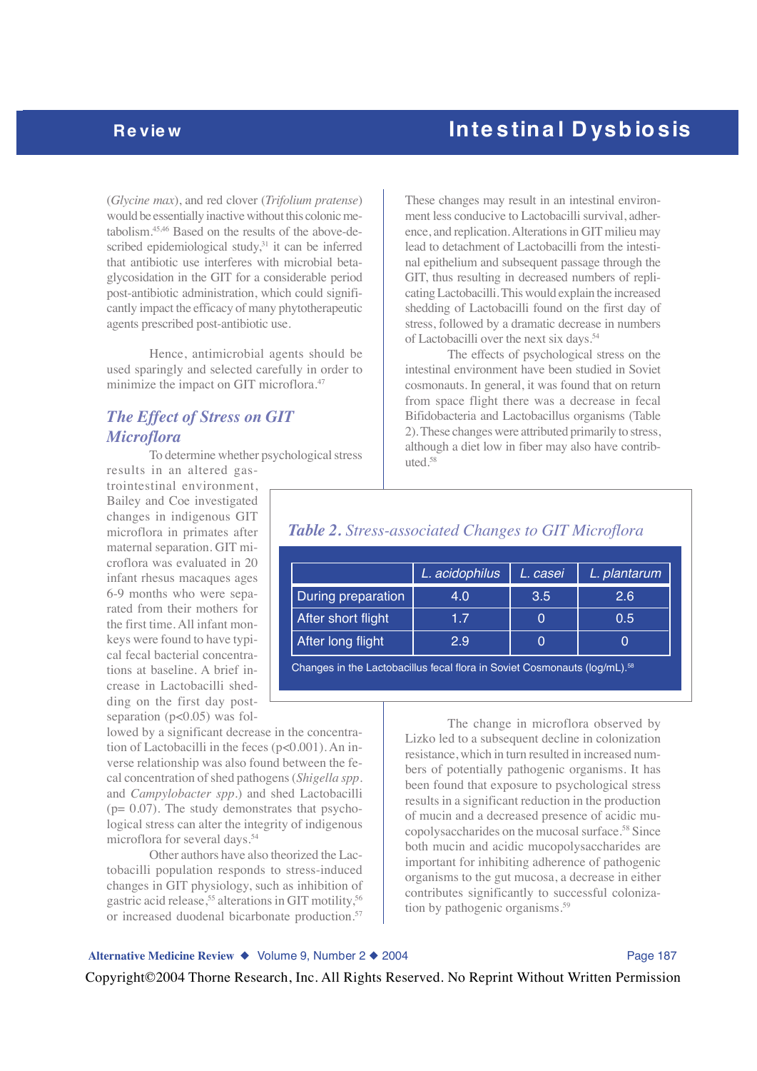(*Glycine max*), and red clover (*Trifolium pratense*) would be essentially inactive without this colonic metabolism.45,46 Based on the results of the above-described epidemiological study, $31$  it can be inferred that antibiotic use interferes with microbial betaglycosidation in the GIT for a considerable period post-antibiotic administration, which could significantly impact the efficacy of many phytotherapeutic agents prescribed post-antibiotic use.

Hence, antimicrobial agents should be used sparingly and selected carefully in order to minimize the impact on GIT microflora.<sup>47</sup>

## *The Effect of Stress on GIT Microflora*

To determine whether psychological stress

results in an altered gastrointestinal environment, Bailey and Coe investigated changes in indigenous GIT microflora in primates after maternal separation. GIT microflora was evaluated in 20 infant rhesus macaques ages 6-9 months who were separated from their mothers for the first time. All infant monkeys were found to have typical fecal bacterial concentrations at baseline. A brief increase in Lactobacilli shedding on the first day postseparation  $(p<0.05)$  was fol-

lowed by a significant decrease in the concentration of Lactobacilli in the feces (p<0.001). An inverse relationship was also found between the fecal concentration of shed pathogens (*Shigella spp.* and *Campylobacter spp.*) and shed Lactobacilli (p= 0.07). The study demonstrates that psychological stress can alter the integrity of indigenous microflora for several days.54

Other authors have also theorized the Lactobacilli population responds to stress-induced changes in GIT physiology, such as inhibition of gastric acid release,<sup>55</sup> alterations in GIT motility,<sup>56</sup> or increased duodenal bicarbonate production.<sup>57</sup>

These changes may result in an intestinal environment less conducive to Lactobacilli survival, adherence, and replication. Alterations in GIT milieu may lead to detachment of Lactobacilli from the intestinal epithelium and subsequent passage through the GIT, thus resulting in decreased numbers of replicating Lactobacilli. This would explain the increased shedding of Lactobacilli found on the first day of stress, followed by a dramatic decrease in numbers of Lactobacilli over the next six days.<sup>54</sup>

The effects of psychological stress on the intestinal environment have been studied in Soviet cosmonauts. In general, it was found that on return from space flight there was a decrease in fecal Bifidobacteria and Lactobacillus organisms (Table 2). These changes were attributed primarily to stress, although a diet low in fiber may also have contributed.58

|                    | L. acidophilus | L. casei | L. plantarum |
|--------------------|----------------|----------|--------------|
| During preparation | 4.0            | 3.5      | 2.6          |
| After short flight | 17             |          | 0.5          |
| After long flight  | 2.9            |          |              |

*Table 2. Stress-associated Changes to GIT Microflora*

Changes in the Lactobacillus fecal flora in Soviet Cosmonauts (log/mL).<sup>56</sup>

The change in microflora observed by Lizko led to a subsequent decline in colonization resistance, which in turn resulted in increased numbers of potentially pathogenic organisms. It has been found that exposure to psychological stress results in a significant reduction in the production of mucin and a decreased presence of acidic mucopolysaccharides on the mucosal surface.58 Since both mucin and acidic mucopolysaccharides are important for inhibiting adherence of pathogenic organisms to the gut mucosa, a decrease in either contributes significantly to successful colonization by pathogenic organisms.<sup>59</sup>

## Alternative Medicine Review ◆ Volume 9, Number 2 ◆ 2004 **Page 187**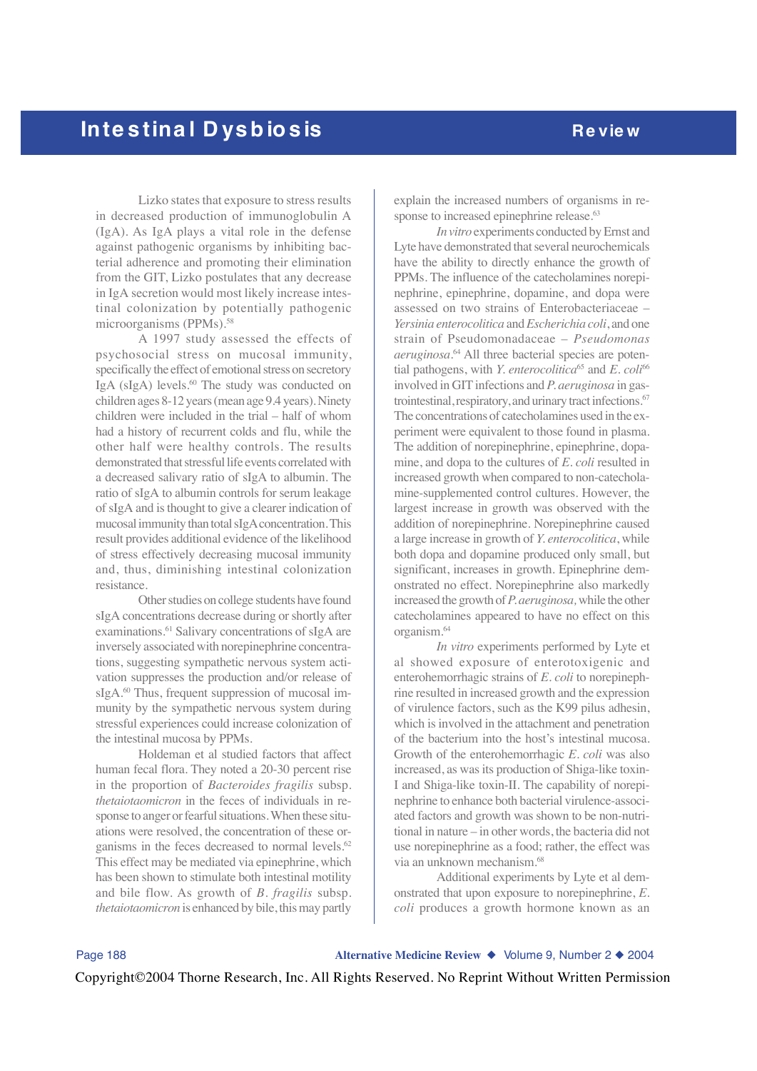Lizko states that exposure to stress results in decreased production of immunoglobulin A (IgA). As IgA plays a vital role in the defense against pathogenic organisms by inhibiting bacterial adherence and promoting their elimination from the GIT, Lizko postulates that any decrease in IgA secretion would most likely increase intestinal colonization by potentially pathogenic microorganisms (PPMs).<sup>58</sup>

A 1997 study assessed the effects of psychosocial stress on mucosal immunity, specifically the effect of emotional stress on secretory IgA (sIgA) levels.<sup>60</sup> The study was conducted on children ages 8-12 years (mean age 9.4 years). Ninety children were included in the trial – half of whom had a history of recurrent colds and flu, while the other half were healthy controls. The results demonstrated that stressful life events correlated with a decreased salivary ratio of sIgA to albumin. The ratio of sIgA to albumin controls for serum leakage of sIgA and is thought to give a clearer indication of mucosal immunity than total sIgA concentration. This result provides additional evidence of the likelihood of stress effectively decreasing mucosal immunity and, thus, diminishing intestinal colonization resistance.

Other studies on college students have found sIgA concentrations decrease during or shortly after examinations.<sup>61</sup> Salivary concentrations of sIgA are inversely associated with norepinephrine concentrations, suggesting sympathetic nervous system activation suppresses the production and/or release of sIgA.<sup>60</sup> Thus, frequent suppression of mucosal immunity by the sympathetic nervous system during stressful experiences could increase colonization of the intestinal mucosa by PPMs.

Holdeman et al studied factors that affect human fecal flora. They noted a 20-30 percent rise in the proportion of *Bacteroides fragilis* subsp. *thetaiotaomicron* in the feces of individuals in response to anger or fearful situations. When these situations were resolved, the concentration of these organisms in the feces decreased to normal levels.<sup>62</sup> This effect may be mediated via epinephrine, which has been shown to stimulate both intestinal motility and bile flow. As growth of *B. fragilis* subsp. *thetaiotaomicron* is enhanced by bile, this may partly

explain the increased numbers of organisms in response to increased epinephrine release.<sup>63</sup>

*In vitro* experiments conducted by Ernst and Lyte have demonstrated that several neurochemicals have the ability to directly enhance the growth of PPMs. The influence of the catecholamines norepinephrine, epinephrine, dopamine, and dopa were assessed on two strains of Enterobacteriaceae – *Yersinia enterocolitica* and *Escherichia coli*, and one strain of Pseudomonadaceae – *Pseudomonas aeruginosa*. 64 All three bacterial species are potential pathogens, with *Y. enterocolitica*<sup>65</sup> and *E. coli*<sup>66</sup> involved in GIT infections and *P. aeruginosa* in gastrointestinal, respiratory, and urinary tract infections.<sup>67</sup> The concentrations of catecholamines used in the experiment were equivalent to those found in plasma. The addition of norepinephrine, epinephrine, dopamine, and dopa to the cultures of *E. coli* resulted in increased growth when compared to non-catecholamine-supplemented control cultures. However, the largest increase in growth was observed with the addition of norepinephrine. Norepinephrine caused a large increase in growth of *Y. enterocolitica*, while both dopa and dopamine produced only small, but significant, increases in growth. Epinephrine demonstrated no effect. Norepinephrine also markedly increased the growth of *P. aeruginosa,* while the other catecholamines appeared to have no effect on this organism.64

*In vitro* experiments performed by Lyte et al showed exposure of enterotoxigenic and enterohemorrhagic strains of *E. coli* to norepinephrine resulted in increased growth and the expression of virulence factors, such as the K99 pilus adhesin, which is involved in the attachment and penetration of the bacterium into the host's intestinal mucosa. Growth of the enterohemorrhagic *E. coli* was also increased, as was its production of Shiga-like toxin-I and Shiga-like toxin-II. The capability of norepinephrine to enhance both bacterial virulence-associated factors and growth was shown to be non-nutritional in nature – in other words, the bacteria did not use norepinephrine as a food; rather, the effect was via an unknown mechanism.68

Additional experiments by Lyte et al demonstrated that upon exposure to norepinephrine, *E. coli* produces a growth hormone known as an

Page 188 **Alternative Medicine Review** ◆ Volume 9, Number 2 ◆ 2004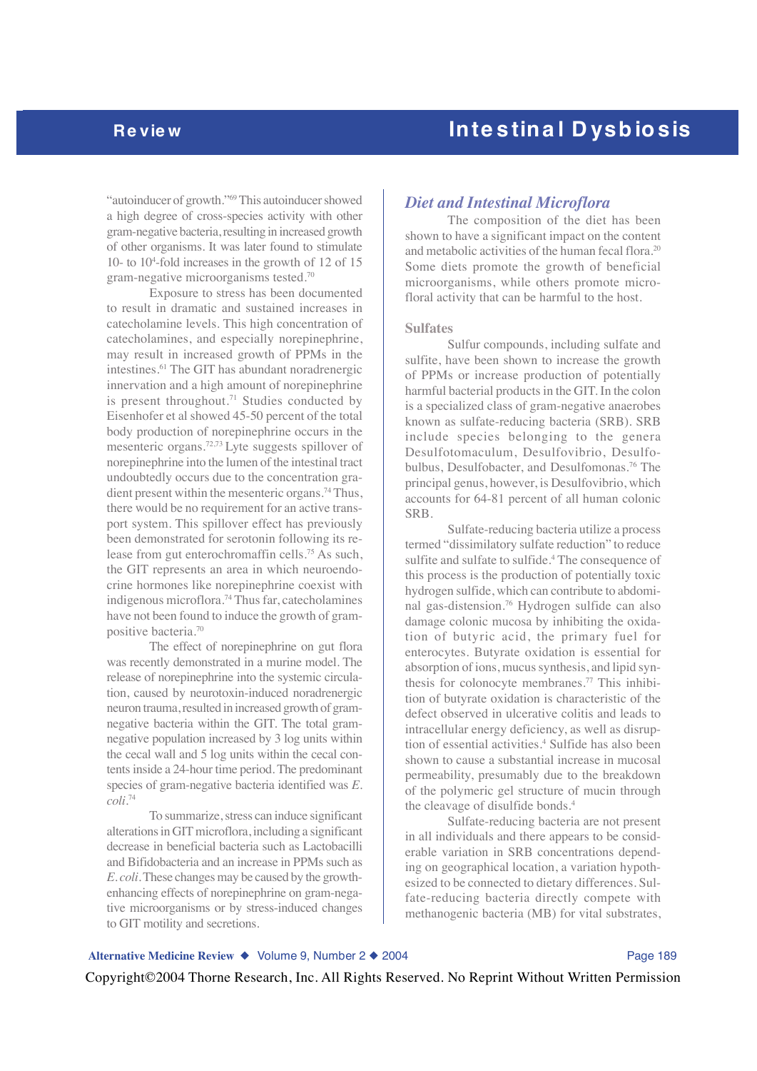"autoinducer of growth."<sup>69</sup> This autoinducer showed a high degree of cross-species activity with other gram-negative bacteria, resulting in increased growth of other organisms. It was later found to stimulate 10- to 104 -fold increases in the growth of 12 of 15 gram-negative microorganisms tested.70

Exposure to stress has been documented to result in dramatic and sustained increases in catecholamine levels. This high concentration of catecholamines, and especially norepinephrine, may result in increased growth of PPMs in the intestines.61 The GIT has abundant noradrenergic innervation and a high amount of norepinephrine is present throughout.<sup>71</sup> Studies conducted by Eisenhofer et al showed 45-50 percent of the total body production of norepinephrine occurs in the mesenteric organs.72,73 Lyte suggests spillover of norepinephrine into the lumen of the intestinal tract undoubtedly occurs due to the concentration gradient present within the mesenteric organs.<sup>74</sup> Thus, there would be no requirement for an active transport system. This spillover effect has previously been demonstrated for serotonin following its release from gut enterochromaffin cells.75 As such, the GIT represents an area in which neuroendocrine hormones like norepinephrine coexist with indigenous microflora.74 Thus far, catecholamines have not been found to induce the growth of grampositive bacteria.70

The effect of norepinephrine on gut flora was recently demonstrated in a murine model. The release of norepinephrine into the systemic circulation, caused by neurotoxin-induced noradrenergic neuron trauma, resulted in increased growth of gramnegative bacteria within the GIT. The total gramnegative population increased by 3 log units within the cecal wall and 5 log units within the cecal contents inside a 24-hour time period. The predominant species of gram-negative bacteria identified was *E. coli*. 74

To summarize, stress can induce significant alterations in GIT microflora, including a significant decrease in beneficial bacteria such as Lactobacilli and Bifidobacteria and an increase in PPMs such as *E. coli*. These changes may be caused by the growthenhancing effects of norepinephrine on gram-negative microorganisms or by stress-induced changes to GIT motility and secretions.

### *Diet and Intestinal Microflora*

The composition of the diet has been shown to have a significant impact on the content and metabolic activities of the human fecal flora.20 Some diets promote the growth of beneficial microorganisms, while others promote microfloral activity that can be harmful to the host.

### **Sulfates**

Sulfur compounds, including sulfate and sulfite, have been shown to increase the growth of PPMs or increase production of potentially harmful bacterial products in the GIT. In the colon is a specialized class of gram-negative anaerobes known as sulfate-reducing bacteria (SRB). SRB include species belonging to the genera Desulfotomaculum, Desulfovibrio, Desulfobulbus, Desulfobacter, and Desulfomonas.76 The principal genus, however, is Desulfovibrio, which accounts for 64-81 percent of all human colonic SRB.

Sulfate-reducing bacteria utilize a process termed "dissimilatory sulfate reduction" to reduce sulfite and sulfate to sulfide.<sup>4</sup> The consequence of this process is the production of potentially toxic hydrogen sulfide, which can contribute to abdominal gas-distension.76 Hydrogen sulfide can also damage colonic mucosa by inhibiting the oxidation of butyric acid, the primary fuel for enterocytes. Butyrate oxidation is essential for absorption of ions, mucus synthesis, and lipid synthesis for colonocyte membranes.77 This inhibition of butyrate oxidation is characteristic of the defect observed in ulcerative colitis and leads to intracellular energy deficiency, as well as disruption of essential activities.4 Sulfide has also been shown to cause a substantial increase in mucosal permeability, presumably due to the breakdown of the polymeric gel structure of mucin through the cleavage of disulfide bonds.4

Sulfate-reducing bacteria are not present in all individuals and there appears to be considerable variation in SRB concentrations depending on geographical location, a variation hypothesized to be connected to dietary differences. Sulfate-reducing bacteria directly compete with methanogenic bacteria (MB) for vital substrates,

## Alternative Medicine Review ◆ Volume 9, Number 2 ◆ 2004 **Page 189** Copyright©2004 Thorne Research, Inc. All Rights Reserved. No Reprint Without Written Permission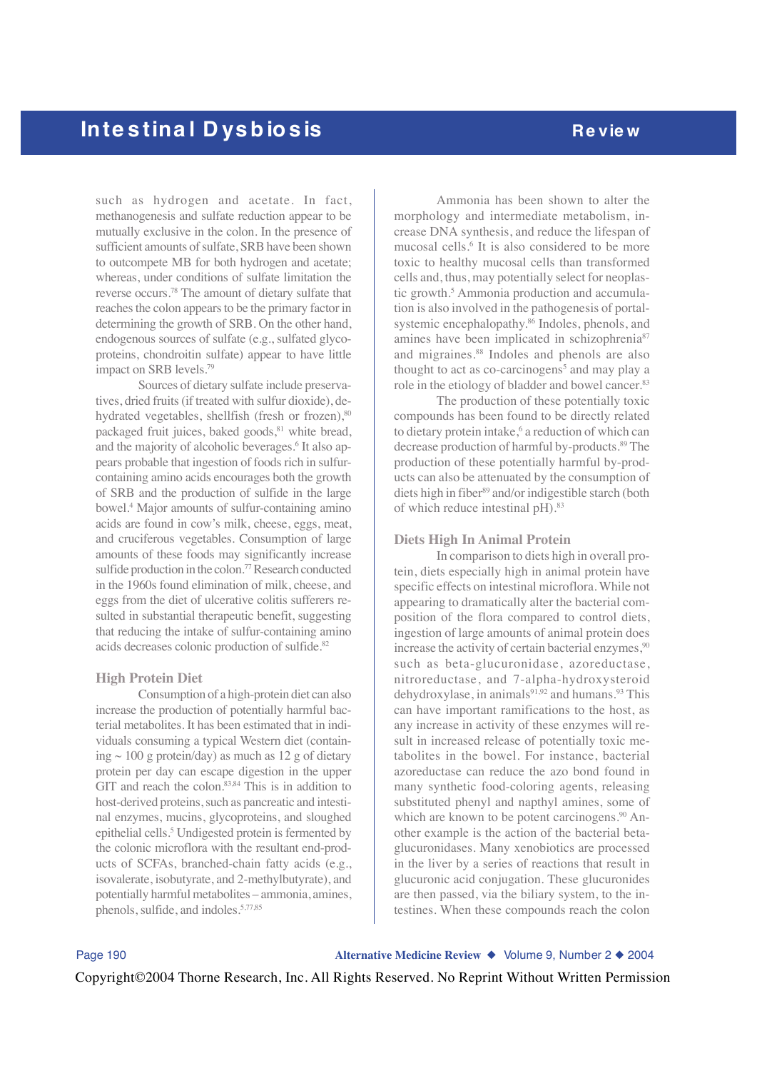such as hydrogen and acetate. In fact, methanogenesis and sulfate reduction appear to be mutually exclusive in the colon. In the presence of sufficient amounts of sulfate, SRB have been shown to outcompete MB for both hydrogen and acetate; whereas, under conditions of sulfate limitation the reverse occurs.78 The amount of dietary sulfate that reaches the colon appears to be the primary factor in determining the growth of SRB. On the other hand, endogenous sources of sulfate (e.g., sulfated glycoproteins, chondroitin sulfate) appear to have little impact on SRB levels.<sup>79</sup>

Sources of dietary sulfate include preservatives, dried fruits (if treated with sulfur dioxide), dehydrated vegetables, shellfish (fresh or frozen), 80 packaged fruit juices, baked goods,<sup>81</sup> white bread, and the majority of alcoholic beverages.<sup>6</sup> It also appears probable that ingestion of foods rich in sulfurcontaining amino acids encourages both the growth of SRB and the production of sulfide in the large bowel.4 Major amounts of sulfur-containing amino acids are found in cow's milk, cheese, eggs, meat, and cruciferous vegetables. Consumption of large amounts of these foods may significantly increase sulfide production in the colon.<sup>77</sup> Research conducted in the 1960s found elimination of milk, cheese, and eggs from the diet of ulcerative colitis sufferers resulted in substantial therapeutic benefit, suggesting that reducing the intake of sulfur-containing amino acids decreases colonic production of sulfide.<sup>82</sup>

### **High Protein Diet**

Consumption of a high-protein diet can also increase the production of potentially harmful bacterial metabolites. It has been estimated that in individuals consuming a typical Western diet (containing  $\sim$  100 g protein/day) as much as 12 g of dietary protein per day can escape digestion in the upper GIT and reach the colon.<sup>83,84</sup> This is in addition to host-derived proteins, such as pancreatic and intestinal enzymes, mucins, glycoproteins, and sloughed epithelial cells.<sup>5</sup> Undigested protein is fermented by the colonic microflora with the resultant end-products of SCFAs, branched-chain fatty acids (e.g., isovalerate, isobutyrate, and 2-methylbutyrate), and potentially harmful metabolites – ammonia, amines, phenols, sulfide, and indoles.5,77,85

Ammonia has been shown to alter the morphology and intermediate metabolism, increase DNA synthesis, and reduce the lifespan of mucosal cells.<sup>6</sup> It is also considered to be more toxic to healthy mucosal cells than transformed cells and, thus, may potentially select for neoplastic growth.<sup>5</sup> Ammonia production and accumulation is also involved in the pathogenesis of portalsystemic encephalopathy.<sup>86</sup> Indoles, phenols, and amines have been implicated in schizophrenia<sup>87</sup> and migraines.<sup>88</sup> Indoles and phenols are also thought to act as co-carcinogens<sup>5</sup> and may play a role in the etiology of bladder and bowel cancer.<sup>83</sup>

The production of these potentially toxic compounds has been found to be directly related to dietary protein intake,<sup>6</sup> a reduction of which can decrease production of harmful by-products.89 The production of these potentially harmful by-products can also be attenuated by the consumption of diets high in fiber<sup>89</sup> and/or indigestible starch (both of which reduce intestinal pH).<sup>83</sup>

### **Diets High In Animal Protein**

In comparison to diets high in overall protein, diets especially high in animal protein have specific effects on intestinal microflora. While not appearing to dramatically alter the bacterial composition of the flora compared to control diets, ingestion of large amounts of animal protein does increase the activity of certain bacterial enzymes,<sup>90</sup> such as beta-glucuronidase, azoreductase, nitroreductase, and 7-alpha-hydroxysteroid dehydroxylase, in animals<sup>91,92</sup> and humans.<sup>93</sup> This can have important ramifications to the host, as any increase in activity of these enzymes will result in increased release of potentially toxic metabolites in the bowel. For instance, bacterial azoreductase can reduce the azo bond found in many synthetic food-coloring agents, releasing substituted phenyl and napthyl amines, some of which are known to be potent carcinogens.<sup>90</sup> Another example is the action of the bacterial betaglucuronidases. Many xenobiotics are processed in the liver by a series of reactions that result in glucuronic acid conjugation. These glucuronides are then passed, via the biliary system, to the intestines. When these compounds reach the colon

Page 190 **Alternative Medicine Review** ◆ Volume 9, Number 2 ◆ 2004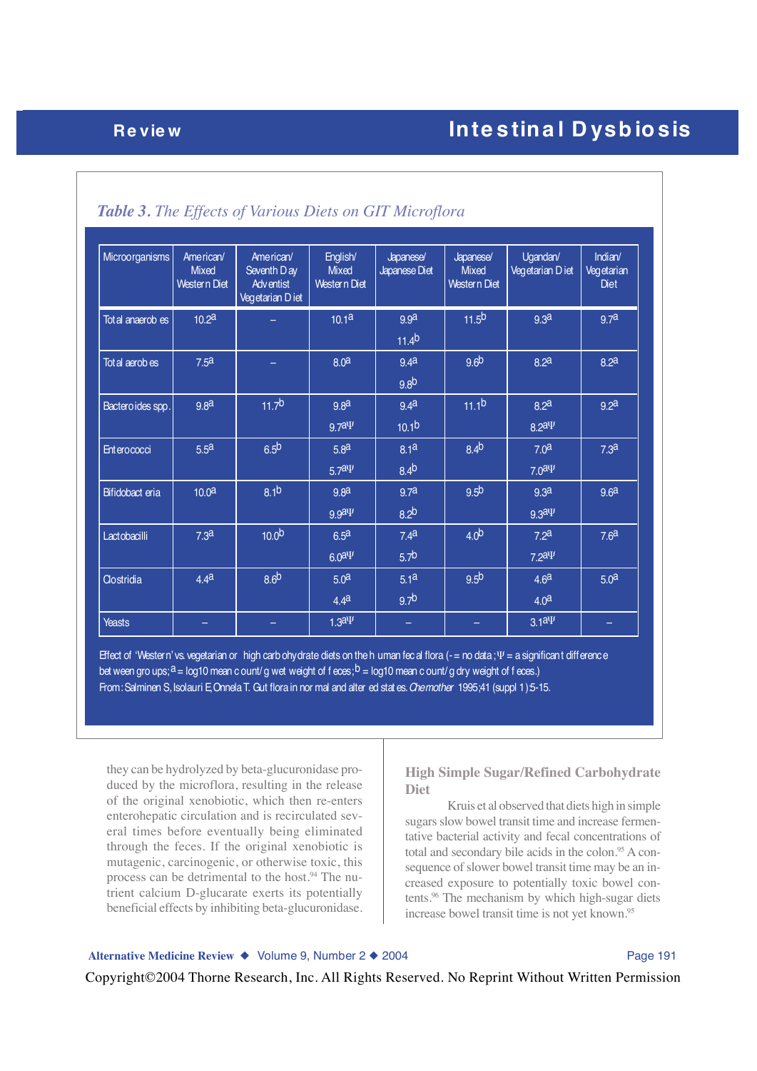| Microorganisms     | American/<br><b>Mixed</b><br>Western Diet | American/<br>Seventh Day<br><b>Adventist</b><br>Vegetarian Diet | English/<br><b>Mixed</b><br>Western Diet | Japanese/<br>Japanese Diet            | Japanese/<br><b>Mixed</b><br>Western Diet | Ugandan/<br>Vegetarian Diet           | Indian/<br>Vegetarian<br><b>Diet</b> |
|--------------------|-------------------------------------------|-----------------------------------------------------------------|------------------------------------------|---------------------------------------|-------------------------------------------|---------------------------------------|--------------------------------------|
| Total anaerob es   | 10.2 <sup>a</sup>                         |                                                                 | 10.1 <sup>a</sup>                        | 9.9a<br>$11.4^{b}$                    | 11.5 <sup>b</sup>                         | 9.3 <sup>a</sup>                      | 9.7a                                 |
| Tot al aerob es    | 7.5 <sup>a</sup>                          |                                                                 | 8.0 <sup>a</sup>                         | 9.4 <sup>a</sup><br>9.8 <sup>b</sup>  | 9.6 <sup>b</sup>                          | 8.2 <sup>a</sup>                      | 8.2 <sup>a</sup>                     |
| Bactero ides spp.  | 9.8 <sup>a</sup>                          | 11.7 <sup>b</sup>                                               | 9.8 <sup>a</sup><br>$9.7a\Psi$           | 9.4 <sup>a</sup><br>10.1 <sup>b</sup> | 11.1 <sup>b</sup>                         | 8.2 <sup>a</sup><br>$8.2a\Psi$        | 9.2 <sup>a</sup>                     |
| <b>Enterococci</b> | 5.5 <sup>a</sup>                          | 6.5 <sup>b</sup>                                                | 5.8 <sup>a</sup><br>$5.7a\Psi$           | 8.1 <sup>a</sup><br>$8.4^{b}$         | 8.4 <sup>b</sup>                          | 7.0 <sup>a</sup><br>7.0 <sup>ay</sup> | 7.3 <sup>a</sup>                     |
| Bifidobact eria    | 10.0 <sup>a</sup>                         | 8.1 <sup>b</sup>                                                | 9.8 <sup>d</sup><br>$9.9a\Psi$           | 9.7a<br>8.2 <sup>b</sup>              | 9.5 <sup>b</sup>                          | 9.3 <sup>a</sup><br>$9.3a\Psi$        | 9.6 <sup>a</sup>                     |
| Lactobacilli       | 7.3 <sup>a</sup>                          | 10.0 <sup>b</sup>                                               | 6.5 <sup>a</sup><br>6.0 <sup>ay</sup>    | 7.4 <sup>a</sup><br>5.7 <sup>b</sup>  | 4.0 <sup>b</sup>                          | 7.2 <sup>a</sup><br>$7.2a\Psi$        | 7.6 <sup>a</sup>                     |
| <b>Clostridia</b>  | 4.4 <sup>a</sup>                          | 8.6 <sup>b</sup>                                                | 5.0 <sup>a</sup><br>4.4 <sup>a</sup>     | 5.1 <sup>a</sup><br>9.7 <sup>b</sup>  | 9.5 <sup>b</sup>                          | 4.6 <sup>a</sup><br>4.0 <sup>a</sup>  | 5.0 <sup>a</sup>                     |
| <b>Yeasts</b>      |                                           |                                                                 | $1.3a\Psi$                               | -                                     |                                           | 3.1 <sup>ay</sup>                     | -                                    |

## *Table 3. The Effects of Various Diets on GIT Microflora*

Effect of 'Western' vs. vegetarian or high carb ohydrate diets on the h uman fecal flora (- = no data; Ψ = a significant difference bet ween gro ups;  $a = \log 10$  mean c ount/ g wet weight of f eces;  $b = \log 10$  mean c ount/ g dry weight of f eces.) From: Salminen S, Isolauri E, Onnela T. Gut flora in nor mal and alter ed stat es. *Chemother* 1995;41 (suppl 1):5-15.

they can be hydrolyzed by beta-glucuronidase produced by the microflora, resulting in the release of the original xenobiotic, which then re-enters enterohepatic circulation and is recirculated several times before eventually being eliminated through the feces. If the original xenobiotic is mutagenic, carcinogenic, or otherwise toxic, this process can be detrimental to the host.<sup>94</sup> The nutrient calcium D-glucarate exerts its potentially beneficial effects by inhibiting beta-glucuronidase.

**High Simple Sugar/Refined Carbohydrate Diet**

Kruis et al observed that diets high in simple sugars slow bowel transit time and increase fermentative bacterial activity and fecal concentrations of total and secondary bile acids in the colon.<sup>95</sup> A consequence of slower bowel transit time may be an increased exposure to potentially toxic bowel contents.96 The mechanism by which high-sugar diets increase bowel transit time is not yet known.95

## Alternative Medicine Review ◆ Volume 9, Number 2 ◆ 2004 **Page 191** Page 191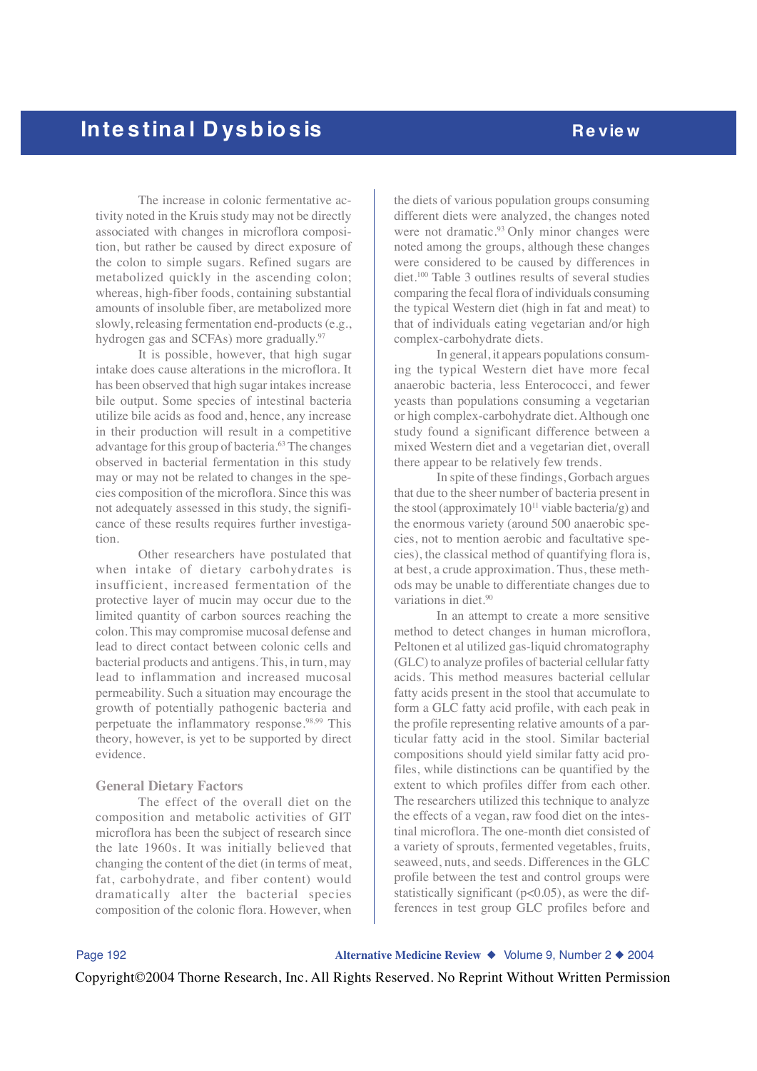The increase in colonic fermentative activity noted in the Kruis study may not be directly associated with changes in microflora composition, but rather be caused by direct exposure of the colon to simple sugars. Refined sugars are metabolized quickly in the ascending colon; whereas, high-fiber foods, containing substantial amounts of insoluble fiber, are metabolized more slowly, releasing fermentation end-products (e.g., hydrogen gas and SCFAs) more gradually.<sup>97</sup>

It is possible, however, that high sugar intake does cause alterations in the microflora. It has been observed that high sugar intakes increase bile output. Some species of intestinal bacteria utilize bile acids as food and, hence, any increase in their production will result in a competitive advantage for this group of bacteria.63 The changes observed in bacterial fermentation in this study may or may not be related to changes in the species composition of the microflora. Since this was not adequately assessed in this study, the significance of these results requires further investigation.

Other researchers have postulated that when intake of dietary carbohydrates is insufficient, increased fermentation of the protective layer of mucin may occur due to the limited quantity of carbon sources reaching the colon. This may compromise mucosal defense and lead to direct contact between colonic cells and bacterial products and antigens. This, in turn, may lead to inflammation and increased mucosal permeability. Such a situation may encourage the growth of potentially pathogenic bacteria and perpetuate the inflammatory response.<sup>98,99</sup> This theory, however, is yet to be supported by direct evidence.

### **General Dietary Factors**

The effect of the overall diet on the composition and metabolic activities of GIT microflora has been the subject of research since the late 1960s. It was initially believed that changing the content of the diet (in terms of meat, fat, carbohydrate, and fiber content) would dramatically alter the bacterial species composition of the colonic flora. However, when

the diets of various population groups consuming different diets were analyzed, the changes noted were not dramatic.<sup>93</sup> Only minor changes were noted among the groups, although these changes were considered to be caused by differences in diet.100 Table 3 outlines results of several studies comparing the fecal flora of individuals consuming the typical Western diet (high in fat and meat) to that of individuals eating vegetarian and/or high complex-carbohydrate diets.

In general, it appears populations consuming the typical Western diet have more fecal anaerobic bacteria, less Enterococci, and fewer yeasts than populations consuming a vegetarian or high complex-carbohydrate diet. Although one study found a significant difference between a mixed Western diet and a vegetarian diet, overall there appear to be relatively few trends.

In spite of these findings, Gorbach argues that due to the sheer number of bacteria present in the stool (approximately  $10^{11}$  viable bacteria/g) and the enormous variety (around 500 anaerobic species, not to mention aerobic and facultative species), the classical method of quantifying flora is, at best, a crude approximation. Thus, these methods may be unable to differentiate changes due to variations in diet.90

In an attempt to create a more sensitive method to detect changes in human microflora, Peltonen et al utilized gas-liquid chromatography (GLC) to analyze profiles of bacterial cellular fatty acids. This method measures bacterial cellular fatty acids present in the stool that accumulate to form a GLC fatty acid profile, with each peak in the profile representing relative amounts of a particular fatty acid in the stool. Similar bacterial compositions should yield similar fatty acid profiles, while distinctions can be quantified by the extent to which profiles differ from each other. The researchers utilized this technique to analyze the effects of a vegan, raw food diet on the intestinal microflora. The one-month diet consisted of a variety of sprouts, fermented vegetables, fruits, seaweed, nuts, and seeds. Differences in the GLC profile between the test and control groups were statistically significant  $(p<0.05)$ , as were the differences in test group GLC profiles before and

Page 192 **Alternative Medicine Review** ◆ Volume 9, Number 2 ◆ 2004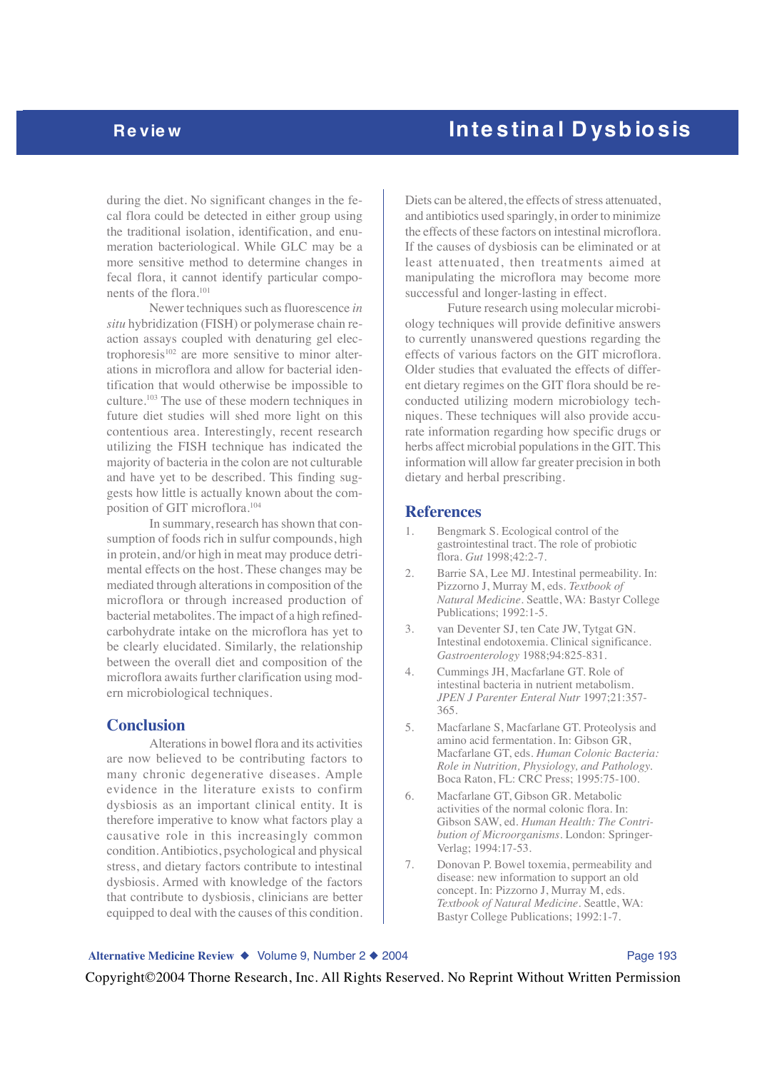during the diet. No significant changes in the fecal flora could be detected in either group using the traditional isolation, identification, and enumeration bacteriological. While GLC may be a more sensitive method to determine changes in fecal flora, it cannot identify particular components of the flora.101

Newer techniques such as fluorescence *in situ* hybridization (FISH) or polymerase chain reaction assays coupled with denaturing gel electrophoresis $102$  are more sensitive to minor alterations in microflora and allow for bacterial identification that would otherwise be impossible to culture.103 The use of these modern techniques in future diet studies will shed more light on this contentious area. Interestingly, recent research utilizing the FISH technique has indicated the majority of bacteria in the colon are not culturable and have yet to be described. This finding suggests how little is actually known about the composition of GIT microflora.104

In summary, research has shown that consumption of foods rich in sulfur compounds, high in protein, and/or high in meat may produce detrimental effects on the host. These changes may be mediated through alterations in composition of the microflora or through increased production of bacterial metabolites. The impact of a high refinedcarbohydrate intake on the microflora has yet to be clearly elucidated. Similarly, the relationship between the overall diet and composition of the microflora awaits further clarification using modern microbiological techniques.

### **Conclusion**

Alterations in bowel flora and its activities are now believed to be contributing factors to many chronic degenerative diseases. Ample evidence in the literature exists to confirm dysbiosis as an important clinical entity. It is therefore imperative to know what factors play a causative role in this increasingly common condition. Antibiotics, psychological and physical stress, and dietary factors contribute to intestinal dysbiosis. Armed with knowledge of the factors that contribute to dysbiosis, clinicians are better equipped to deal with the causes of this condition.

Diets can be altered, the effects of stress attenuated, and antibiotics used sparingly, in order to minimize the effects of these factors on intestinal microflora. If the causes of dysbiosis can be eliminated or at least attenuated, then treatments aimed at manipulating the microflora may become more successful and longer-lasting in effect.

Future research using molecular microbiology techniques will provide definitive answers to currently unanswered questions regarding the effects of various factors on the GIT microflora. Older studies that evaluated the effects of different dietary regimes on the GIT flora should be reconducted utilizing modern microbiology techniques. These techniques will also provide accurate information regarding how specific drugs or herbs affect microbial populations in the GIT. This information will allow far greater precision in both dietary and herbal prescribing.

### **References**

- 1. Bengmark S. Ecological control of the gastrointestinal tract. The role of probiotic flora. *Gut* 1998;42:2-7.
- 2. Barrie SA, Lee MJ. Intestinal permeability. In: Pizzorno J, Murray M, eds. *Textbook of Natural Medicine*. Seattle, WA: Bastyr College Publications; 1992:1-5.
- 3. van Deventer SJ, ten Cate JW, Tytgat GN. Intestinal endotoxemia. Clinical significance. *Gastroenterology* 1988;94:825-831.
- 4. Cummings JH, Macfarlane GT. Role of intestinal bacteria in nutrient metabolism. *JPEN J Parenter Enteral Nutr* 1997;21:357- 365.
- 5. Macfarlane S, Macfarlane GT. Proteolysis and amino acid fermentation. In: Gibson GR, Macfarlane GT, eds. *Human Colonic Bacteria: Role in Nutrition, Physiology, and Pathology.* Boca Raton, FL: CRC Press; 1995:75-100.
- 6. Macfarlane GT, Gibson GR. Metabolic activities of the normal colonic flora. In: Gibson SAW, ed. *Human Health: The Contribution of Microorganisms*. London: Springer-Verlag; 1994:17-53.
- 7. Donovan P. Bowel toxemia, permeability and disease: new information to support an old concept. In: Pizzorno J, Murray M, eds. *Textbook of Natural Medicine*. Seattle, WA: Bastyr College Publications; 1992:1-7.

### Alternative Medicine Review ◆ Volume 9, Number 2 ◆ 2004 Page 193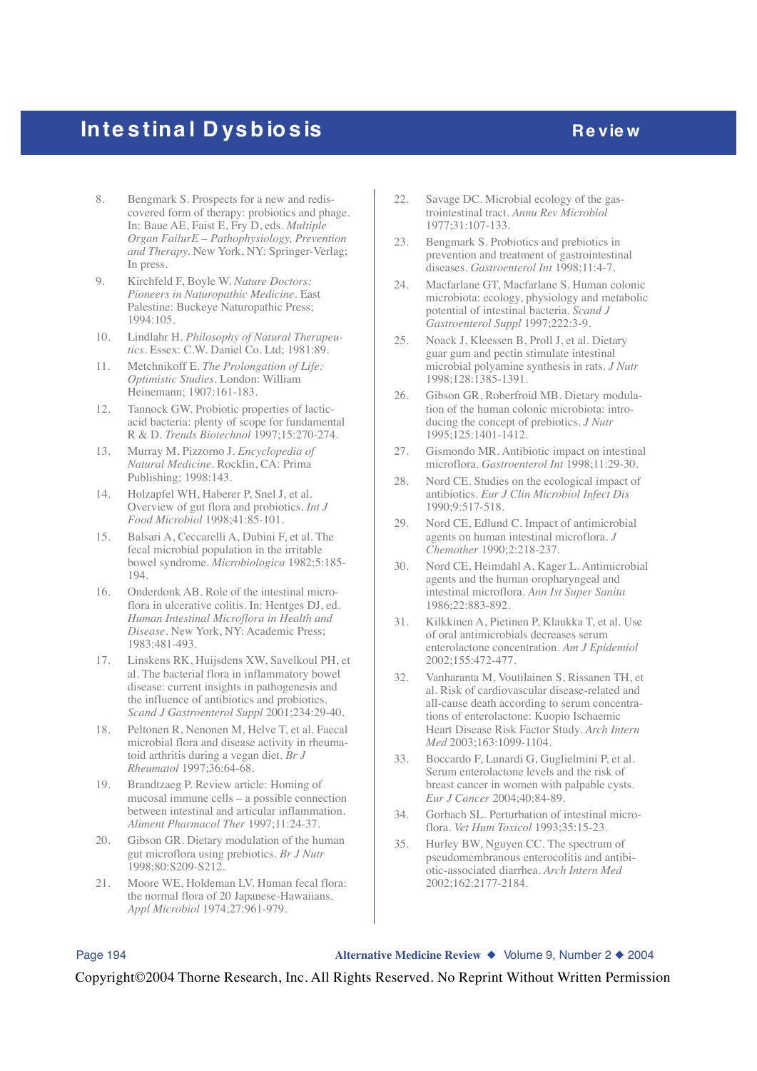# **Inte stinal Dysbiosis** *Review*

- 8. Bengmark S. Prospects for a new and rediscovered form of therapy: probiotics and phage. In: Baue AE, Faist E, Fry D, eds. *Multiple Organ FailurE – Pathophysiology, Prevention and Therapy.* New York, NY: Springer-Verlag; In press.
- 9. Kirchfeld F, Boyle W. *Nature Doctors: Pioneers in Naturopathic Medicine*. East Palestine: Buckeye Naturopathic Press; 1994:105.
- 10. Lindlahr H. *Philosophy of Natural Therapeutics*. Essex: C.W. Daniel Co. Ltd; 1981:89.
- 11. Metchnikoff E. *The Prolongation of Life: Optimistic Studies*. London: William Heinemann; 1907:161-183.
- 12. Tannock GW. Probiotic properties of lacticacid bacteria: plenty of scope for fundamental R & D. *Trends Biotechnol* 1997;15:270-274.
- 13. Murray M, Pizzorno J. *Encyclopedia of Natural Medicine*. Rocklin, CA: Prima Publishing; 1998:143.
- 14. Holzapfel WH, Haberer P, Snel J, et al. Overview of gut flora and probiotics. *Int J Food Microbiol* 1998;41:85-101.
- 15. Balsari A, Ceccarelli A, Dubini F, et al. The fecal microbial population in the irritable bowel syndrome. *Microbiologica* 1982;5:185- 194.
- 16. Onderdonk AB. Role of the intestinal microflora in ulcerative colitis. In: Hentges DJ, ed. *Human Intestinal Microflora in Health and Disease*. New York, NY: Academic Press; 1983:481-493.
- 17. Linskens RK, Huijsdens XW, Savelkoul PH, et al. The bacterial flora in inflammatory bowel disease: current insights in pathogenesis and the influence of antibiotics and probiotics. *Scand J Gastroenterol Suppl* 2001;234:29-40.
- 18. Peltonen R, Nenonen M, Helve T, et al. Faecal microbial flora and disease activity in rheumatoid arthritis during a vegan diet. *Br J Rheumatol* 1997;36:64-68.
- 19. Brandtzaeg P. Review article: Homing of mucosal immune cells – a possible connection between intestinal and articular inflammation. *Aliment Pharmacol Ther* 1997;11:24-37.
- 20. Gibson GR. Dietary modulation of the human gut microflora using prebiotics. *Br J Nutr* 1998;80:S209-S212.
- 21. Moore WE, Holdeman LV. Human fecal flora: the normal flora of 20 Japanese-Hawaiians. *Appl Microbiol* 1974;27:961-979.
- 22. Savage DC. Microbial ecology of the gastrointestinal tract. *Annu Rev Microbiol* 1977;31:107-133.
- 23. Bengmark S. Probiotics and prebiotics in prevention and treatment of gastrointestinal diseases. *Gastroenterol Int* 1998;11:4-7.
- 24. Macfarlane GT, Macfarlane S. Human colonic microbiota: ecology, physiology and metabolic potential of intestinal bacteria. *Scand J Gastroenterol Suppl* 1997;222:3-9.
- 25. Noack J, Kleessen B, Proll J, et al. Dietary guar gum and pectin stimulate intestinal microbial polyamine synthesis in rats. *J Nutr* 1998;128:1385-1391.
- 26. Gibson GR, Roberfroid MB. Dietary modulation of the human colonic microbiota: introducing the concept of prebiotics. *J Nutr* 1995;125:1401-1412.
- 27. Gismondo MR. Antibiotic impact on intestinal microflora. *Gastroenterol Int* 1998;11:29-30.
- 28. Nord CE. Studies on the ecological impact of antibiotics. *Eur J Clin Microbiol Infect Dis* 1990;9:517-518.
- 29. Nord CE, Edlund C. Impact of antimicrobial agents on human intestinal microflora. *J Chemother* 1990;2:218-237.
- 30. Nord CE, Heimdahl A, Kager L. Antimicrobial agents and the human oropharyngeal and intestinal microflora. *Ann Ist Super Sanita* 1986;22:883-892.
- 31. Kilkkinen A, Pietinen P, Klaukka T, et al. Use of oral antimicrobials decreases serum enterolactone concentration. *Am J Epidemiol* 2002;155:472-477.
- 32. Vanharanta M, Voutilainen S, Rissanen TH, et al. Risk of cardiovascular disease-related and all-cause death according to serum concentrations of enterolactone: Kuopio Ischaemic Heart Disease Risk Factor Study. *Arch Intern Med* 2003;163:1099-1104.
- 33. Boccardo F, Lunardi G, Guglielmini P, et al. Serum enterolactone levels and the risk of breast cancer in women with palpable cysts. *Eur J Cancer* 2004;40:84-89.
- 34. Gorbach SL. Perturbation of intestinal microflora. *Vet Hum Toxicol* 1993;35:15-23.
- 35. Hurley BW, Nguyen CC. The spectrum of pseudomembranous enterocolitis and antibiotic-associated diarrhea. *Arch Intern Med* 2002;162:2177-2184.

Page 194 **Alternative Medicine Review** ◆ Volume 9, Number 2 ◆ 2004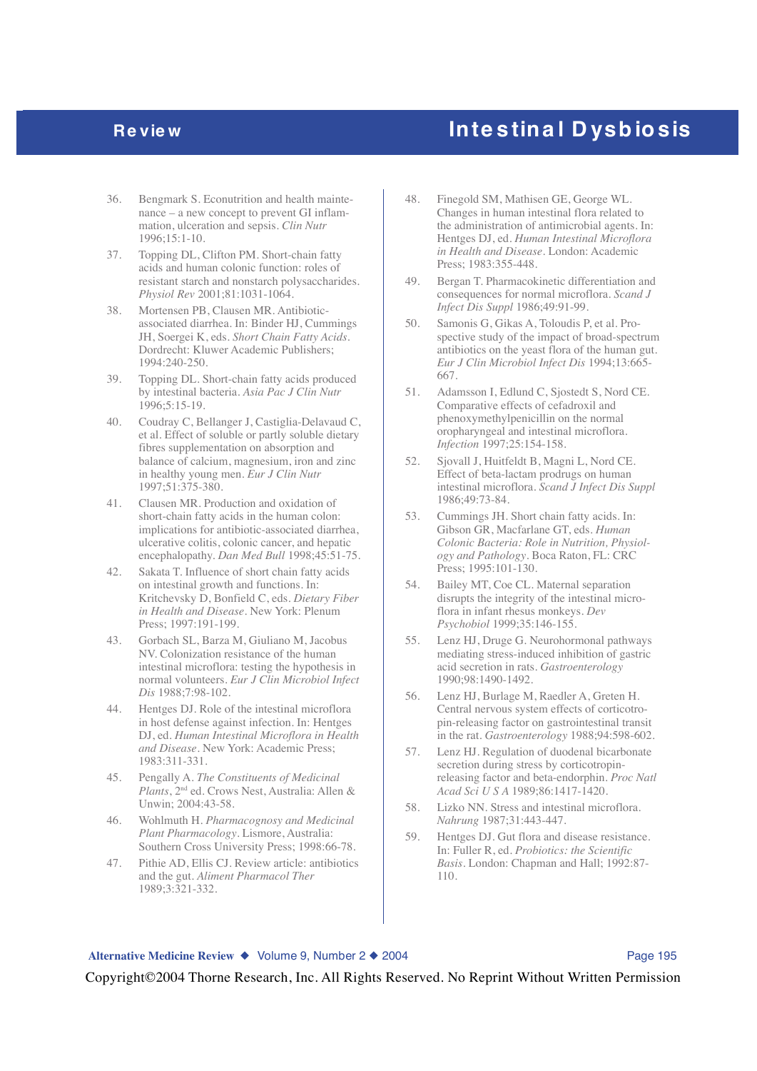- 36. Bengmark S. Econutrition and health maintenance – a new concept to prevent GI inflammation, ulceration and sepsis. *Clin Nutr* 1996;15:1-10.
- 37. Topping DL, Clifton PM. Short-chain fatty acids and human colonic function: roles of resistant starch and nonstarch polysaccharides. *Physiol Rev* 2001;81:1031-1064.
- 38. Mortensen PB, Clausen MR. Antibioticassociated diarrhea. In: Binder HJ, Cummings JH, Soergei K, eds. *Short Chain Fatty Acids*. Dordrecht: Kluwer Academic Publishers; 1994:240-250.
- 39. Topping DL. Short-chain fatty acids produced by intestinal bacteria. *Asia Pac J Clin Nutr* 1996;5:15-19.
- 40. Coudray C, Bellanger J, Castiglia-Delavaud C, et al. Effect of soluble or partly soluble dietary fibres supplementation on absorption and balance of calcium, magnesium, iron and zinc in healthy young men. *Eur J Clin Nutr* 1997;51:375-380.
- 41. Clausen MR. Production and oxidation of short-chain fatty acids in the human colon: implications for antibiotic-associated diarrhea, ulcerative colitis, colonic cancer, and hepatic encephalopathy. *Dan Med Bull* 1998;45:51-75.
- 42. Sakata T. Influence of short chain fatty acids on intestinal growth and functions. In: Kritchevsky D, Bonfield C, eds. *Dietary Fiber in Health and Disease*. New York: Plenum Press; 1997:191-199.
- 43. Gorbach SL, Barza M, Giuliano M, Jacobus NV. Colonization resistance of the human intestinal microflora: testing the hypothesis in normal volunteers. *Eur J Clin Microbiol Infect Dis* 1988;7:98-102.
- 44. Hentges DJ. Role of the intestinal microflora in host defense against infection. In: Hentges DJ, ed. *Human Intestinal Microflora in Health and Disease*. New York: Academic Press; 1983:311-331.
- 45. Pengally A. *The Constituents of Medicinal Plants*, 2<sup>nd</sup> ed. Crows Nest, Australia: Allen & Unwin; 2004:43-58.
- 46. Wohlmuth H. *Pharmacognosy and Medicinal Plant Pharmacology*. Lismore, Australia: Southern Cross University Press; 1998:66-78.
- 47. Pithie AD, Ellis CJ. Review article: antibiotics and the gut. *Aliment Pharmacol Ther* 1989;3:321-332.
- 48. Finegold SM, Mathisen GE, George WL. Changes in human intestinal flora related to the administration of antimicrobial agents. In: Hentges DJ, ed. *Human Intestinal Microflora in Health and Disease*. London: Academic Press; 1983:355-448.
- 49. Bergan T. Pharmacokinetic differentiation and consequences for normal microflora. *Scand J Infect Dis Suppl* 1986;49:91-99.
- 50. Samonis G, Gikas A, Toloudis P, et al. Prospective study of the impact of broad-spectrum antibiotics on the yeast flora of the human gut. *Eur J Clin Microbiol Infect Dis* 1994;13:665- 667.
- 51. Adamsson I, Edlund C, Sjostedt S, Nord CE. Comparative effects of cefadroxil and phenoxymethylpenicillin on the normal oropharyngeal and intestinal microflora. *Infection* 1997;25:154-158.
- 52. Sjovall J, Huitfeldt B, Magni L, Nord CE. Effect of beta-lactam prodrugs on human intestinal microflora. *Scand J Infect Dis Suppl* 1986;49:73-84.
- 53. Cummings JH. Short chain fatty acids. In: Gibson GR, Macfarlane GT, eds. *Human Colonic Bacteria: Role in Nutrition, Physiology and Pathology*. Boca Raton, FL: CRC Press; 1995:101-130.
- 54. Bailey MT, Coe CL. Maternal separation disrupts the integrity of the intestinal microflora in infant rhesus monkeys. *Dev Psychobiol* 1999;35:146-155.
- 55. Lenz HJ, Druge G. Neurohormonal pathways mediating stress-induced inhibition of gastric acid secretion in rats. *Gastroenterology* 1990;98:1490-1492.
- 56. Lenz HJ, Burlage M, Raedler A, Greten H. Central nervous system effects of corticotropin-releasing factor on gastrointestinal transit in the rat. *Gastroenterology* 1988;94:598-602.
- 57. Lenz HJ. Regulation of duodenal bicarbonate secretion during stress by corticotropinreleasing factor and beta-endorphin. *Proc Natl Acad Sci U S A* 1989;86:1417-1420.
- 58. Lizko NN. Stress and intestinal microflora. *Nahrung* 1987;31:443-447.
- 59. Hentges DJ. Gut flora and disease resistance. In: Fuller R, ed. *Probiotics: the Scientific Basis.* London: Chapman and Hall; 1992:87- 110.

### Alternative Medicine Review ◆ Volume 9, Number 2 ◆ 2004 **Page 195**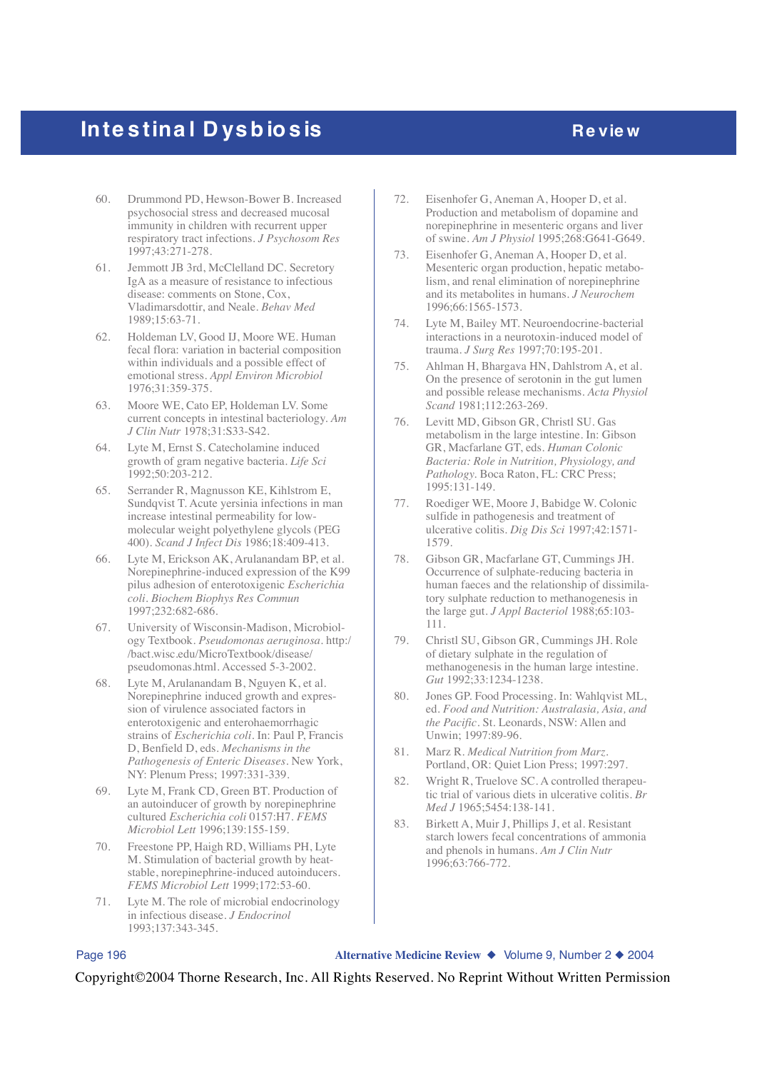# **Inte stinal Dysbiosis** *Review*

- 60. Drummond PD, Hewson-Bower B. Increased psychosocial stress and decreased mucosal immunity in children with recurrent upper respiratory tract infections. *J Psychosom Res* 1997;43:271-278.
- 61. Jemmott JB 3rd, McClelland DC. Secretory IgA as a measure of resistance to infectious disease: comments on Stone, Cox, Vladimarsdottir, and Neale. *Behav Med* 1989;15:63-71.
- 62. Holdeman LV, Good IJ, Moore WE. Human fecal flora: variation in bacterial composition within individuals and a possible effect of emotional stress. *Appl Environ Microbiol* 1976;31:359-375.
- 63. Moore WE, Cato EP, Holdeman LV. Some current concepts in intestinal bacteriology. *Am J Clin Nutr* 1978;31:S33-S42.
- 64. Lyte M, Ernst S. Catecholamine induced growth of gram negative bacteria. *Life Sci* 1992;50:203-212.
- 65. Serrander R, Magnusson KE, Kihlstrom E, Sundqvist T. Acute yersinia infections in man increase intestinal permeability for lowmolecular weight polyethylene glycols (PEG 400). *Scand J Infect Dis* 1986;18:409-413.
- 66. Lyte M, Erickson AK, Arulanandam BP, et al. Norepinephrine-induced expression of the K99 pilus adhesion of enterotoxigenic *Escherichia coli*. *Biochem Biophys Res Commun* 1997;232:682-686.
- 67. University of Wisconsin-Madison, Microbiology Textbook. *Pseudomonas aeruginosa*. http:/ /bact.wisc.edu/MicroTextbook/disease/ pseudomonas.html. Accessed 5-3-2002.
- 68. Lyte M, Arulanandam B, Nguyen K, et al. Norepinephrine induced growth and expression of virulence associated factors in enterotoxigenic and enterohaemorrhagic strains of *Escherichia coli*. In: Paul P, Francis D, Benfield D, eds. *Mechanisms in the Pathogenesis of Enteric Diseases*. New York, NY: Plenum Press; 1997:331-339.
- 69. Lyte M, Frank CD, Green BT. Production of an autoinducer of growth by norepinephrine cultured *Escherichia coli* 0157:H7. *FEMS Microbiol Lett* 1996;139:155-159.
- 70. Freestone PP, Haigh RD, Williams PH, Lyte M. Stimulation of bacterial growth by heatstable, norepinephrine-induced autoinducers. *FEMS Microbiol Lett* 1999;172:53-60.
- 71. Lyte M. The role of microbial endocrinology in infectious disease. *J Endocrinol* 1993;137:343-345.
- 72. Eisenhofer G, Aneman A, Hooper D, et al. Production and metabolism of dopamine and norepinephrine in mesenteric organs and liver of swine. *Am J Physiol* 1995;268:G641-G649.
- 73. Eisenhofer G, Aneman A, Hooper D, et al. Mesenteric organ production, hepatic metabolism, and renal elimination of norepinephrine and its metabolites in humans. *J Neurochem* 1996;66:1565-1573.
- 74. Lyte M, Bailey MT. Neuroendocrine-bacterial interactions in a neurotoxin-induced model of trauma. *J Surg Res* 1997;70:195-201.
- 75. Ahlman H, Bhargava HN, Dahlstrom A, et al. On the presence of serotonin in the gut lumen and possible release mechanisms. *Acta Physiol Scand* 1981;112:263-269.
- 76. Levitt MD, Gibson GR, Christl SU. Gas metabolism in the large intestine. In: Gibson GR, Macfarlane GT, eds. *Human Colonic Bacteria: Role in Nutrition, Physiology, and Pathology.* Boca Raton, FL: CRC Press; 1995:131-149.
- 77. Roediger WE, Moore J, Babidge W. Colonic sulfide in pathogenesis and treatment of ulcerative colitis. *Dig Dis Sci* 1997;42:1571- 1579.
- 78. Gibson GR, Macfarlane GT, Cummings JH. Occurrence of sulphate-reducing bacteria in human faeces and the relationship of dissimilatory sulphate reduction to methanogenesis in the large gut. *J Appl Bacteriol* 1988;65:103- 111.
- 79. Christl SU, Gibson GR, Cummings JH. Role of dietary sulphate in the regulation of methanogenesis in the human large intestine. *Gut* 1992;33:1234-1238.
- 80. Jones GP. Food Processing. In: Wahlqvist ML, ed. *Food and Nutrition: Australasia, Asia, and the Pacific*. St. Leonards, NSW: Allen and Unwin; 1997:89-96.
- 81. Marz R. *Medical Nutrition from Marz*. Portland, OR: Quiet Lion Press; 1997:297.
- 82. Wright R, Truelove SC. A controlled therapeutic trial of various diets in ulcerative colitis. *Br Med J* 1965;5454:138-141.
- 83. Birkett A, Muir J, Phillips J, et al. Resistant starch lowers fecal concentrations of ammonia and phenols in humans. *Am J Clin Nutr* 1996;63:766-772.

Page 196 **Alternative Medicine Review** ◆ Volume 9, Number 2 ◆ 2004